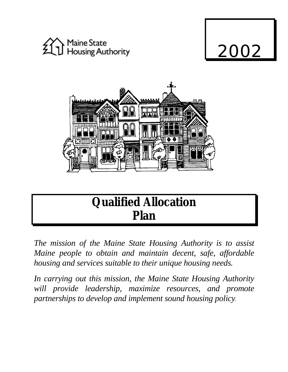

# 2002



# **Qualified Allocation Plan**

*The mission of the Maine State Housing Authority is to assist Maine people to obtain and maintain decent, safe, affordable housing and services suitable to their unique housing needs.*

*In carrying out this mission, the Maine State Housing Authority will provide leadership, maximize resources, and promote partnerships to develop and implement sound housing policy.*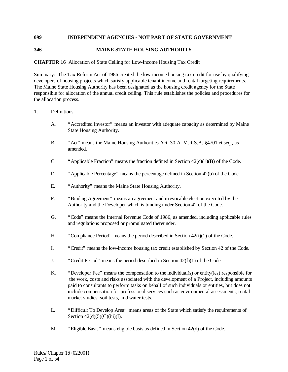# **099 INDEPENDENT AGENCIES - NOT PART OF STATE GOVERNMENT**

#### **346 MAINE STATE HOUSING AUTHORITY**

#### **CHAPTER 16** Allocation of State Ceiling for Low-Income Housing Tax Credit

Summary: The Tax Reform Act of 1986 created the low-income housing tax credit for use by qualifying developers of housing projects which satisfy applicable tenant income and rental targeting requirements. The Maine State Housing Authority has been designated as the housing credit agency for the State responsible for allocation of the annual credit ceiling. This rule establishes the policies and procedures for the allocation process.

#### 1. Definitions

- A. "Accredited Investor" means an investor with adequate capacity as determined by Maine State Housing Authority.
- B. "Act" means the Maine Housing Authorities Act, 30-A M.R.S.A. §4701 et seq., as amended.
- C. "Applicable Fraction" means the fraction defined in Section  $42(c)(1)(B)$  of the Code.
- D. "Applicable Percentage" means the percentage defined in Section 42(b) of the Code.
- E. "Authority" means the Maine State Housing Authority.
- F. "Binding Agreement" means an agreement and irrevocable election executed by the Authority and the Developer which is binding under Section 42 of the Code.
- G. "Code" means the Internal Revenue Code of 1986, as amended, including applicable rules and regulations proposed or promulgated thereunder.
- H. "Compliance Period" means the period described in Section  $42(i)(1)$  of the Code.
- I. "Credit" means the low-income housing tax credit established by Section 42 of the Code.
- J. "Credit Period" means the period described in Section 42(f)(1) of the Code.
- K. "Developer Fee" means the compensation to the individual(s) or entity(ies) responsible for the work, costs and risks associated with the development of a Project, including amounts paid to consultants to perform tasks on behalf of such individuals or entities, but does not include compensation for professional services such as environmental assessments, rental market studies, soil tests, and water tests.
- L. "Difficult To Develop Area" means areas of the State which satisfy the requirements of Section  $42(d)(5)(C)(iii)(I)$ .
- M. "Eligible Basis" means eligible basis as defined in Section 42(d) of the Code.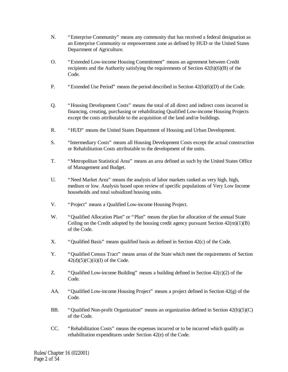- N. "Enterprise Community" means any community that has received a federal designation as an Enterprise Community or empowerment zone as defined by HUD or the United States Department of Agriculture.
- O. "Extended Low-income Housing Commitment" means an agreement between Credit recipients and the Authority satisfying the requirements of Section 42(h)(6)(B) of the Code.
- P. "Extended Use Period" means the period described in Section 42(h)(6)(D) of the Code.
- Q. "Housing Development Costs" means the total of all direct and indirect costs incurred in financing, creating, purchasing or rehabilitating Qualified Low-income Housing Projects except the costs attributable to the acquisition of the land and/or buildings.
- R. "HUD" means the United States Department of Housing and Urban Development.
- S. "Intermediary Costs" means all Housing Development Costs except the actual construction or Rehabilitation Costs attributable to the development of the units.
- T. "Metropolitan Statistical Area" means an area defined as such by the United States Office of Management and Budget.
- U. "Need Market Area" means the analysis of labor markets ranked as very high, high, medium or low. Analysis based upon review of specific populations of Very Low Income households and total subsidized housing units.
- V. "Project" means a Qualified Low-income Housing Project.
- W. "Qualified Allocation Plan" or "Plan" means the plan for allocation of the annual State Ceiling on the Credit adopted by the housing credit agency pursuant Section  $42(m)(1)(B)$ of the Code.
- X. "Qualified Basis" means qualified basis as defined in Section 42(c) of the Code.
- Y. "Qualified Census Tract" means areas of the State which meet the requirements of Section  $42(d)(5)(C)(ii)(I)$  of the Code.
- Z. "Qualified Low-income Building" means a building defined in Section 42(c)(2) of the Code.
- AA. "Qualified Low-income Housing Project" means a project defined in Section 42(g) of the Code.
- BB. "Qualified Non-profit Organization" means an organization defined in Section 42(h)(5)(C) of the Code.
- CC. "Rehabilitation Costs" means the expenses incurred or to be incurred which qualify as rehabilitation expenditures under Section 42(e) of the Code.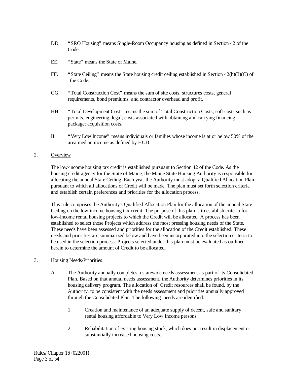- DD. "SRO Housing" means Single-Room Occupancy housing as defined in Section 42 of the Code.
- EE. "State" means the State of Maine.
- FF. "State Ceiling" means the State housing credit ceiling established in Section 42(h)(3)(C) of the Code.
- GG. "Total Construction Cost" means the sum of site costs, structures costs, general requirements, bond premiums, and contractor overhead and profit.
- HH. "Total Development Cost" means the sum of Total Construction Costs; soft costs such as permits, engineering, legal; costs associated with obtaining and carrying financing package; acquisition costs.
- II. "Very Low Income" means individuals or families whose income is at or below 50% of the area median income as defined by HUD.

#### 2. Overview

The low-income housing tax credit is established pursuant to Section 42 of the Code. As the housing credit agency for the State of Maine, the Maine State Housing Authority is responsible for allocating the annual State Ceiling. Each year the Authority must adopt a Qualified Allocation Plan pursuant to which all allocations of Credit will be made. The plan must set forth selection criteria and establish certain preferences and priorities for the allocation process.

This rule comprises the Authority's Qualified Allocation Plan for the allocation of the annual State Ceiling on the low-income housing tax credit. The purpose of this plan is to establish criteria for low-income rental housing projects to which the Credit will be allocated. A process has been established to select those Projects which address the most pressing housing needs of the State. These needs have been assessed and priorities for the allocation of the Credit established. These needs and priorities are summarized below and have been incorporated into the selection criteria to be used in the selection process. Projects selected under this plan must be evaluated as outlined herein to determine the amount of Credit to be allocated.

#### 3. Housing Needs/Priorities

- A. The Authority annually completes a statewide needs assessment as part of its Consolidated Plan. Based on that annual needs assessment, the Authority determines priorities in its housing delivery program. The allocation of Credit resources shall be found, by the Authority, to be consistent with the needs assessment and priorities annually approved through the Consolidated Plan. The following needs are identified:
	- 1. Creation and maintenance of an adequate supply of decent, safe and sanitary rental housing affordable to Very Low Income persons.
	- 2. Rehabilitation of existing housing stock, which does not result in displacement or substantially increased housing costs.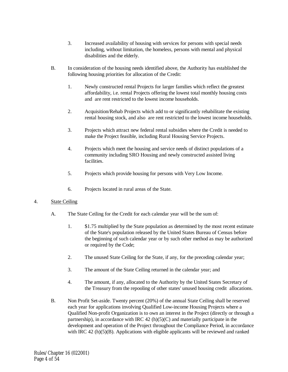- 3. Increased availability of housing with services for persons with special needs including, without limitation, the homeless, persons with mental and physical disabilities and the elderly.
- B. In consideration of the housing needs identified above, the Authority has established the following housing priorities for allocation of the Credit:
	- 1. Newly constructed rental Projects for larger families which reflect the greatest affordability, i.e. rental Projects offering the lowest total monthly housing costs and are rent restricted to the lowest income households.
	- 2. Acquisition/Rehab Projects which add to or significantly rehabilitate the existing rental housing stock, and also are rent restricted to the lowest income households.
	- 3. Projects which attract new federal rental subsidies where the Credit is needed to make the Project feasible, including Rural Housing Service Projects.
	- 4. Projects which meet the housing and service needs of distinct populations of a community including SRO Housing and newly constructed assisted living facilities.
	- 5. Projects which provide housing for persons with Very Low Income.
	- 6. Projects located in rural areas of the State.

#### 4. State Ceiling

- A. The State Ceiling for the Credit for each calendar year will be the sum of:
	- 1. \$1.75 multiplied by the State population as determined by the most recent estimate of the State's population released by the United States Bureau of Census before the beginning of such calendar year or by such other method as may be authorized or required by the Code;
	- 2. The unused State Ceiling for the State, if any, for the preceding calendar year;
	- 3. The amount of the State Ceiling returned in the calendar year; and
	- 4. The amount, if any, allocated to the Authority by the United States Secretary of the Treasury from the repooling of other states' unused housing credit allocations.
- B. Non Profit Set-aside. Twenty percent (20%) of the annual State Ceiling shall be reserved each year for applications involving Qualified Low-income Housing Projects where a Qualified Non-profit Organization is to own an interest in the Project (directly or through a partnership), in accordance with IRC 42  $(h)(5)(C)$  and materially participate in the development and operation of the Project throughout the Compliance Period, in accordance with IRC  $42$  (h)(5)(B). Applications with eligible applicants will be reviewed and ranked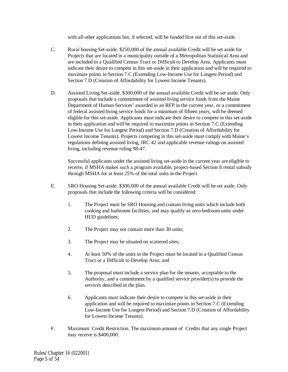with all other applications but, if selected, will be funded first out of this set-aside.

- C. Rural housing Set-aside. \$250,000 of the annual available Credit will be set aside for Projects that are located in a municipality outside of a Metropolitan Statistical Area and are included in a Qualified Census Tract or Difficult to Develop Area. Applicants must indicate their desire to compete in this set-aside in their application and will be required to maximize points in Section 7.C (Extending Low-Income Use for Longest Period) and Section 7.D (Creation of Affordability for Lowest Income Tenants).
- D. Assisted Living Set-aside. \$300,000 of the annual available Credit will be set aside. Only proposals that include a commitment of assisted living service funds from the Maine Department of Human Services' awarded in an RFP in the current year, or a commitment of federal assisted living service funds for a minimum of fifteen years, will be deemed eligible for this set-aside. Applicants must indicate their desire to compete in this set-aside in their application and will be required to maximize points in Section 7.C (Extending Low-Income Use for Longest Period) and Section 7.D (Creation of Affordability for Lowest Income Tenants). Projects competing in this set-aside must comply with Maine's regulations defining assisted living, IRC 42 and applicable revenue rulings on assisted living, including revenue ruling 98-47.

Successful applicants under the assisted living set-aside in the current year are eligible to receive, if MSHA makes such a program available, project-based Section 8 rental subsidy through MSHA for at least 25% of the total units in the Project.

- E. SRO Housing Set-aside. \$300,000 of the annual available Credit will be set aside. Only proposals that include the following criteria will be considered:
	- 1. The Project must be SRO Housing and contain living units which include both cooking and bathroom facilities, and may qualify as zero bedroom units under HUD guidelines;
	- 2. The Project may not contain more than 30 units;
	- 3. The Project may be situated on scattered sites;
	- 4. At least 50% of the units in the Project must be located in a Qualified Census Tract or a Difficult to Develop Area; and
	- 5. The proposal must include a service plan for the tenants, acceptable to the Authority, and a commitment by a qualified service provider(s) to provide the services described in the plan.
	- 6. Applicants must indicate their desire to compete in this set-aside in their application and will be required to maximize points in Section 7.C (Extending Low-Income Use for Longest Period) and Section 7.D (Creation of Affordability for Lowest Income Tenants).
- F. Maximum Credit Restriction. The maximum amount of Credits that any single Project may receive is \$400,000.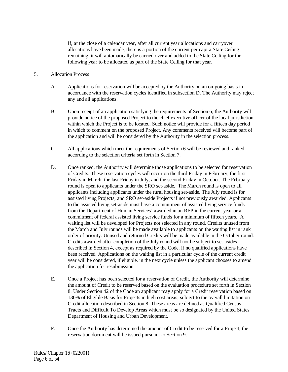If, at the close of a calendar year, after all current year allocations and carryover allocations have been made, there is a portion of the current per capita State Ceiling remaining, it will automatically be carried over and added to the State Ceiling for the following year to be allocated as part of the State Ceiling for that year.

# 5. Allocation Process

- A. Applications for reservation will be accepted by the Authority on an on-going basis in accordance with the reservation cycles identified in subsection D. The Authority may reject any and all applications.
- B. Upon receipt of an application satisfying the requirements of Section 6, the Authority will provide notice of the proposed Project to the chief executive officer of the local jurisdiction within which the Project is to be located. Such notice will provide for a fifteen day period in which to comment on the proposed Project. Any comments received will become part of the application and will be considered by the Authority in the selection process.
- C. All applications which meet the requirements of Section 6 will be reviewed and ranked according to the selection criteria set forth in Section 7.
- D. Once ranked, the Authority will determine those applications to be selected for reservation of Credits. These reservation cycles will occur on the third Friday in February, the first Friday in March, the last Friday in July, and the second Friday in October. The February round is open to applicants under the SRO set-aside. The March round is open to all applicants including applicants under the rural housing set-aside. The July round is for assisted living Projects, and SRO set-aside Projects if not previously awarded. Applicants to the assisted living set-aside must have a commitment of assisted living service funds from the Department of Human Services' awarded in an RFP in the current year or a commitment of federal assisted living service funds for a minimum of fifteen years. A waiting list will be developed for Projects not selected in any round. Credits unused from the March and July rounds will be made available to applicants on the waiting list in rank order of priority. Unused and returned Credits will be made available in the October round. Credits awarded after completion of the July round will not be subject to set-asides described in Section 4, except as required by the Code, if no qualified applications have been received. Applications on the waiting list in a particular cycle of the current credit year will be considered, if eligible, in the next cycle unless the applicant chooses to amend the application for resubmission.
- E. Once a Project has been selected for a reservation of Credit, the Authority will determine the amount of Credit to be reserved based on the evaluation procedure set forth in Section 8. Under Section 42 of the Code an applicant may apply for a Credit reservation based on 130% of Eligible Basis for Projects in high cost areas, subject to the overall limitation on Credit allocation described in Section 8. These areas are defined as Qualified Census Tracts and Difficult To Develop Areas which must be so designated by the United States Department of Housing and Urban Development.
- F. Once the Authority has determined the amount of Credit to be reserved for a Project, the reservation document will be issued pursuant to Section 9.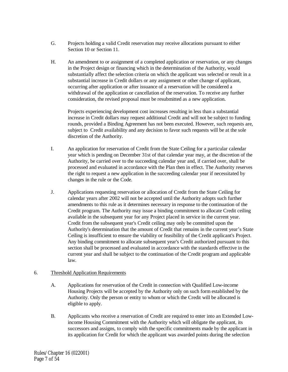- G. Projects holding a valid Credit reservation may receive allocations pursuant to either Section 10 or Section 11.
- H. An amendment to or assignment of a completed application or reservation, or any changes in the Project design or financing which in the determination of the Authority, would substantially affect the selection criteria on which the applicant was selected or result in a substantial increase in Credit dollars or any assignment or other change of applicant, occurring after application or after issuance of a reservation will be considered a withdrawal of the application or cancellation of the reservation. To receive any further consideration, the revised proposal must be resubmitted as a new application.

Projects experiencing development cost increases resulting in less than a substantial increase in Credit dollars may request additional Credit and will not be subject to funding rounds, provided a Binding Agreement has not been executed. However, such requests are, subject to Credit availability and any decision to favor such requests will be at the sole discretion of the Authority.

- I. An application for reservation of Credit from the State Ceiling for a particular calendar year which is pending on December 31st of that calendar year may, at the discretion of the Authority, be carried over to the succeeding calendar year and, if carried over, shall be processed and evaluated in accordance with the Plan then in effect. The Authority reserves the right to request a new application in the succeeding calendar year if necessitated by changes in the rule or the Code.
- J. Applications requesting reservation or allocation of Credit from the State Ceiling for calendar years after 2002 will not be accepted until the Authority adopts such further amendments to this rule as it determines necessary in response to the continuation of the Credit program. The Authority may issue a binding commitment to allocate Credit ceiling available in the subsequent year for any Project placed in service in the current year. Credit from the subsequent year's Credit ceiling may only be committed upon the Authority's determination that the amount of Credit that remains in the current year's State Ceiling is insufficient to ensure the viability or feasibility of the Credit applicant's Project. Any binding commitment to allocate subsequent year's Credit authorized pursuant to this section shall be processed and evaluated in accordance with the standards effective in the current year and shall be subject to the continuation of the Credit program and applicable law.

# 6. Threshold Application Requirements

- A. Applications for reservation of the Credit in connection with Qualified Low-income Housing Projects will be accepted by the Authority only on such form established by the Authority. Only the person or entity to whom or which the Credit will be allocated is eligible to apply.
- B. Applicants who receive a reservation of Credit are required to enter into an Extended Lowincome Housing Commitment with the Authority which will obligate the applicant, its successors and assigns, to comply with the specific commitments made by the applicant in its application for Credit for which the applicant was awarded points during the selection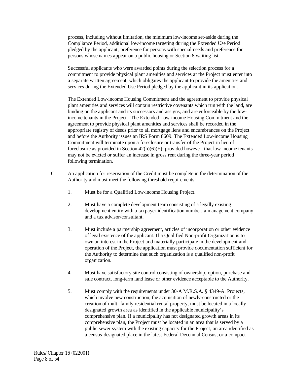process, including without limitation, the minimum low-income set-aside during the Compliance Period, additional low-income targeting during the Extended Use Period pledged by the applicant, preference for persons with special needs and preference for persons whose names appear on a public housing or Section 8 waiting list.

Successful applicants who were awarded points during the selection process for a commitment to provide physical plant amenities and services at the Project must enter into a separate written agreement, which obligates the applicant to provide the amenities and services during the Extended Use Period pledged by the applicant in its application.

The Extended Low-income Housing Commitment and the agreement to provide physical plant amenities and services will contain restrictive covenants which run with the land, are binding on the applicant and its successors and assigns, and are enforceable by the lowincome tenants in the Project. The Extended Low-income Housing Commitment and the agreement to provide physical plant amenities and services shall be recorded in the appropriate registry of deeds prior to all mortgage liens and encumbrances on the Project and before the Authority issues an IRS Form 8609. The Extended Low-income Housing Commitment will terminate upon a foreclosure or transfer of the Project in lieu of foreclosure as provided in Section  $42(h)(6)(E)$ ; provided however, that low-income tenants may not be evicted or suffer an increase in gross rent during the three-year period following termination.

- C. An application for reservation of the Credit must be complete in the determination of the Authority and must meet the following threshold requirements:
	- 1. Must be for a Qualified Low-income Housing Project.
	- 2. Must have a complete development team consisting of a legally existing development entity with a taxpayer identification number, a management company and a tax advisor/consultant.
	- 3. Must include a partnership agreement, articles of incorporation or other evidence of legal existence of the applicant. If a Qualified Non-profit Organization is to own an interest in the Project and materially participate in the development and operation of the Project, the application must provide documentation sufficient for the Authority to determine that such organization is a qualified non-profit organization.
	- 4. Must have satisfactory site control consisting of ownership, option, purchase and sale contract, long-term land lease or other evidence acceptable to the Authority.
	- 5. Must comply with the requirements under 30-A M.R.S.A. § 4349-A. Projects, which involve new construction, the acquisition of newly-constructed or the creation of multi-family residential rental property, must be located in a locally designated growth area as identified in the applicable municipality's comprehensive plan. If a municipality has not designated growth areas in its comprehensive plan, the Project must be located in an area that is served by a public sewer system with the existing capacity for the Project, an area identified as a census-designated place in the latest Federal Decennial Census, or a compact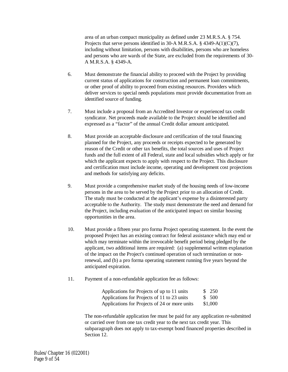area of an urban compact municipality as defined under 23 M.R.S.A. § 754. Projects that serve persons identified in 30-A M.R.S.A. § 4349-A(1)(C)(7), including without limitation, persons with disabilities, persons who are homeless and persons who are wards of the State, are excluded from the requirements of 30- A M.R.S.A. § 4349-A.

- 6. Must demonstrate the financial ability to proceed with the Project by providing current status of applications for construction and permanent loan commitments, or other proof of ability to proceed from existing resources. Providers which deliver services to special needs populations must provide documentation from an identified source of funding.
- 7. Must include a proposal from an Accredited Investor or experienced tax credit syndicator. Net proceeds made available to the Project should be identified and expressed as a "factor" of the annual Credit dollar amount anticipated.
- 8. Must provide an acceptable disclosure and certification of the total financing planned for the Project, any proceeds or receipts expected to be generated by reason of the Credit or other tax benefits, the total sources and uses of Project funds and the full extent of all Federal, state and local subsidies which apply or for which the applicant expects to apply with respect to the Project. This disclosure and certification must include income, operating and development cost projections and methods for satisfying any deficits.
- 9. Must provide a comprehensive market study of the housing needs of low-income persons in the area to be served by the Project prior to an allocation of Credit. The study must be conducted at the applicant's expense by a disinterested party acceptable to the Authority. The study must demonstrate the need and demand for the Project, including evaluation of the anticipated impact on similar housing opportunities in the area.
- 10. Must provide a fifteen year pro forma Project operating statement. In the event the proposed Project has an existing contract for federal assistance which may end or which may terminate within the irrevocable benefit period being pledged by the applicant, two additional items are required: (a) supplemental written explanation of the impact on the Project's continued operation of such termination or nonrenewal, and (b) a pro forma operating statement running five years beyond the anticipated expiration.
- 11. Payment of a non-refundable application fee as follows:

| Applications for Projects of up to 11 units   | \$ 250  |
|-----------------------------------------------|---------|
| Applications for Projects of 11 to 23 units   | \$ 500  |
| Applications for Projects of 24 or more units | \$1,000 |

The non-refundable application fee must be paid for any application re-submitted or carried over from one tax credit year to the next tax credit year. This subparagraph does not apply to tax-exempt bond financed properties described in Section 12.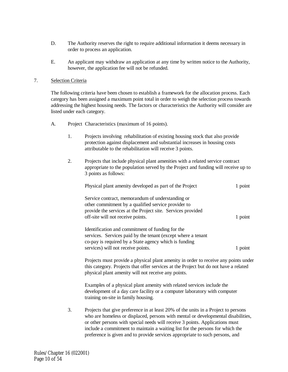- D. The Authority reserves the right to require additional information it deems necessary in order to process an application.
- E. An applicant may withdraw an application at any time by written notice to the Authority, however, the application fee will not be refunded.

#### 7. Selection Criteria

The following criteria have been chosen to establish a framework for the allocation process. Each category has been assigned a maximum point total in order to weigh the selection process towards addressing the highest housing needs. The factors or characteristics the Authority will consider are listed under each category.

- A. Project Characteristics (maximum of 16 points).
	- 1. Projects involving rehabilitation of existing housing stock that also provide protection against displacement and substantial increases in housing costs attributable to the rehabilitation will receive 3 points.
	- 2. Projects that include physical plant amenities with a related service contract appropriate to the population served by the Project and funding will receive up to 3 points as follows:

| Physical plant amenity developed as part of the Project                                                                                                                                                     | 1 point |
|-------------------------------------------------------------------------------------------------------------------------------------------------------------------------------------------------------------|---------|
| Service contract, memorandum of understanding or<br>other commitment by a qualified service provider to<br>provide the services at the Project site. Services provided<br>off-site will not receive points. | 1 point |
| Identification and commitment of funding for the<br>services. Services paid by the tenant (except where a tenant<br>co-pay is required by a State agency which is funding                                   |         |
| services) will not receive points.                                                                                                                                                                          | $1$ poi |

Projects must provide a physical plant amenity in order to receive any points under this category. Projects that offer services at the Project but do not have a related physical plant amenity will not receive any points.

Examples of a physical plant amenity with related services include the development of a day care facility or a computer laboratory with computer training on-site in family housing.

3. Projects that give preference in at least 20% of the units in a Project to persons who are homeless or displaced, persons with mental or developmental disabilities, or other persons with special needs will receive 3 points. Applications must include a commitment to maintain a waiting list for the persons for which the preference is given and to provide services appropriate to such persons, and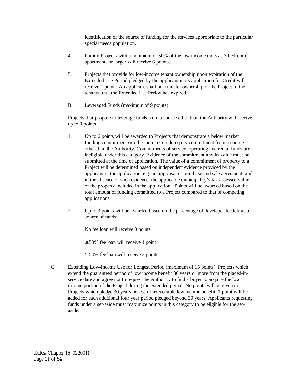identification of the source of funding for the services appropriate to the particular special needs population.

- 4. Family Projects with a minimum of 50% of the low income units as 3 bedroom apartments or larger will receive 6 points.
- 5. Projects that provide for low-income tenant ownership upon expiration of the Extended Use Period pledged by the applicant in its application for Credit will receive 1 point. An applicant shall not transfer ownership of the Project to the tenants until the Extended Use Period has expired.
- B. Leveraged Funds (maximum of 9 points).

Projects that propose to leverage funds from a source other than the Authority will receive up to 9 points.

- 1. Up to 6 points will be awarded to Projects that demonstrate a below market funding commitment or other non tax credit equity commitment from a source other than the Authority. Commitments of service, operating and rental funds are ineligible under this category. Evidence of the commitment and its value must be submitted at the time of application. The value of a commitment of property to a Project will be determined based on independent evidence provided by the applicant in the application, e.g. an appraisal or purchase and sale agreement, and in the absence of such evidence, the applicable municipality's tax assessed value of the property included in the application. Points will be awarded based on the total amount of funding committed to a Project compared to that of competing applications.
- 2. Up to 3 points will be awarded based on the percentage of developer fee left as a source of funds:

No fee loan will receive 0 points

≤ 50% fee loan will receive 1 point

- > 50% fee loan will receive 3 points
- C. Extending Low-Income Use for Longest Period (maximum of 15 points). Projects which extend the guaranteed period of low income benefit 30 years or more from the placed-inservice date and agree not to request the Authority to find a buyer to acquire the low income portion of the Project during the extended period. No points will be given to Projects which pledge 30 years or less of irrevocable low income benefit. 1 point will be added for each additional four year period pledged beyond 30 years. Applicants requesting funds under a set-aside must maximize points in this category to be eligible for the setaside.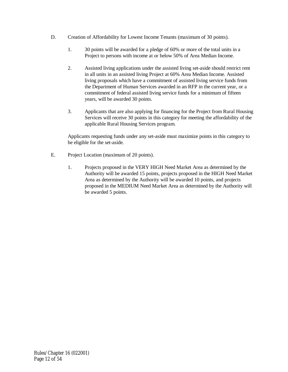- D. Creation of Affordability for Lowest Income Tenants (maximum of 30 points).
	- 1. 30 points will be awarded for a pledge of 60% or more of the total units in a Project to persons with income at or below 50% of Area Median Income.
	- 2. Assisted living applications under the assisted living set-aside should restrict rent in all units in an assisted living Project at 60% Area Median Income. Assisted living proposals which have a commitment of assisted living service funds from the Department of Human Services awarded in an RFP in the current year, or a commitment of federal assisted living service funds for a minimum of fifteen years, will be awarded 30 points.
	- 3. Applicants that are also applying for financing for the Project from Rural Housing Services will receive 30 points in this category for meeting the affordability of the applicable Rural Housing Services program.

Applicants requesting funds under any set-aside must maximize points in this category to be eligible for the set-aside.

- E. Project Location (maximum of 20 points).
	- 1. Projects proposed in the VERY HIGH Need Market Area as determined by the Authority will be awarded 15 points, projects proposed in the HIGH Need Market Area as determined by the Authority will be awarded 10 points, and projects proposed in the MEDIUM Need Market Area as determined by the Authority will be awarded 5 points.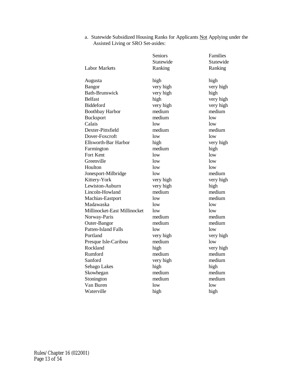|                              | Seniors<br>Statewide | Families<br>Statewide |
|------------------------------|----------------------|-----------------------|
| <b>Labor Markets</b>         | Ranking              | Ranking               |
| Augusta                      | high                 | high                  |
| <b>Bangor</b>                | very high            | very high             |
| <b>Bath-Brunswick</b>        | very high            | high                  |
| <b>Belfast</b>               | high                 | very high             |
| <b>Biddeford</b>             | very high            | very high             |
| <b>Boothbay Harbor</b>       | medium               | medium                |
| <b>Bucksport</b>             | medium               | low                   |
| Calais                       | low                  | low                   |
| Dexter-Pittsfield            | medium               | medium                |
| Dover-Foxcroft               | low                  | low                   |
| Ellsworth-Bar Harbor         | high                 | very high             |
| Farmington                   | medium               | high                  |
| <b>Fort Kent</b>             | low                  | low                   |
| Greenville                   | low                  | low                   |
| Houlton                      | low                  | low                   |
| Jonesport-Milbridge          | low                  | medium                |
| Kittery-York                 | very high            | very high             |
| Lewiston-Auburn              | very high            | high                  |
| Lincoln-Howland              | medium               | medium                |
| Machias-Eastport             | low                  | medium                |
| Madawaska                    | low                  | low                   |
| Millinocket-East Millinocket | low                  | low                   |
| Norway-Paris                 | medium               | medium                |
| Outer-Bangor                 | medium               | medium                |
| Patten-Island Falls          | low                  | low                   |
| Portland                     | very high            | very high             |
| Presque Isle-Caribou         | medium               | low                   |
| Rockland                     | high                 | very high             |
| Rumford                      | medium               | medium                |
| Sanford                      | very high            | medium                |
| Sebago Lakes                 | high                 | high                  |
| Skowhegan                    | medium               | medium                |
| Stonington                   | medium               | medium                |
| Van Buren                    | low                  | low                   |
| Waterville                   | high                 | high                  |

a. Statewide Subsidized Housing Ranks for Applicants Not Applying under the Assisted Living or SRO Set-asides: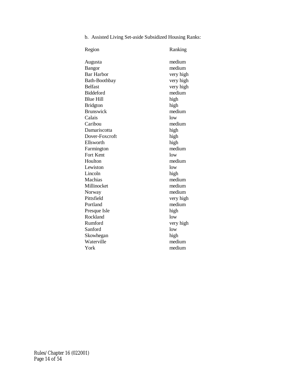b. Assisted Living Set-aside Subsidized Housing Ranks:

| Region            | Ranking   |
|-------------------|-----------|
| Augusta           | medium    |
| Bangor            | medium    |
| <b>Bar Harbor</b> | very high |
| Bath-Boothbay     | very high |
| <b>Belfast</b>    | very high |
| <b>Biddeford</b>  | medium    |
| <b>Blue Hill</b>  | high      |
| <b>Bridgton</b>   | high      |
| <b>Brunswick</b>  | medium    |
| Calais            | low       |
| Caribou           | medium    |
| Damariscotta      | high      |
| Dover-Foxcroft    | high      |
| Ellsworth         | high      |
| Farmington        | medium    |
| Fort Kent         | low       |
| Houlton           | medium    |
| Lewiston          | low       |
| Lincoln           | high      |
| Machias           | medium    |
| Millinocket       | medium    |
| Norway            | medium    |
| Pittsfield        | very high |
| Portland          | medium    |
| Presque Isle      | high      |
| Rockland          | low       |
| Rumford           | very high |
| Sanford           | low       |
| Skowhegan         | high      |
| Waterville        | medium    |
| York              | medium    |
|                   |           |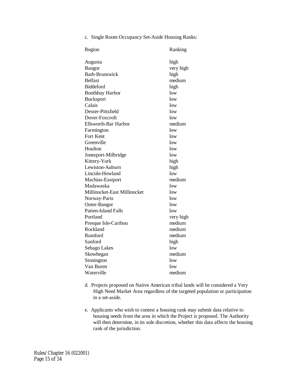c. Single Room Occupancy Set-Aside Housing Ranks:

| Region                       | Ranking   |
|------------------------------|-----------|
| Augusta                      | high      |
| Bangor                       | very high |
| <b>Bath-Brunswick</b>        | high      |
| <b>Belfast</b>               | medium    |
| <b>Biddeford</b>             | high      |
| <b>Boothbay Harbor</b>       | low       |
| <b>Bucksport</b>             | low       |
| Calais                       | low       |
| Dexter-Pittsfield            | low       |
| Dover-Foxcroft               | low       |
| <b>Ellsworth-Bar Harbor</b>  | medium    |
| Farmington                   | low       |
| Fort Kent                    | low       |
| Greenville                   | low       |
| Houlton                      | low       |
| Jonesport-Milbridge          | low       |
| Kittery-York                 | high      |
| Lewiston-Auburn              | high      |
| Lincoln-Howland              | low       |
| Machias-Eastport             | medium    |
| Madawaska                    | low       |
| Millinocket-East Millinocket | low       |
| Norway-Paris                 | low       |
| Outer-Bangor                 | low       |
| Patten-Island Falls          | low       |
| Portland                     | very high |
| Presque Isle-Caribou         | medium    |
| Rockland                     | medium    |
| Rumford                      | medium    |
| Sanford                      | high      |
| Sebago Lakes                 | low       |
| Skowhegan                    | medium    |
| Stonington                   | low       |
| Van Buren                    | 10w       |
| Waterville                   | medium    |

- d. Projects proposed on Native American tribal lands will be considered a Very High Need Market Area regardless of the targeted population or participation in a set-aside.
- e. Applicants who wish to contest a housing rank may submit data relative to housing needs from the area in which the Project is proposed. The Authority will then determine, in its sole discretion, whether this data affects the housing rank of the jurisdiction.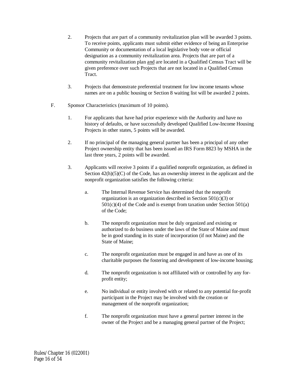- 2. Projects that are part of a community revitalization plan will be awarded 3 points. To receive points, applicants must submit either evidence of being an Enterprise Community or documentation of a local legislative body vote or official designation as a community revitalization area. Projects that are part of a community revitalization plan and are located in a Qualified Census Tract will be given preference over such Projects that are not located in a Qualified Census Tract.
- 3. Projects that demonstrate preferential treatment for low income tenants whose names are on a public housing or Section 8 waiting list will be awarded 2 points.
- F. Sponsor Characteristics (maximum of 10 points).
	- 1. For applicants that have had prior experience with the Authority and have no history of defaults, or have successfully developed Qualified Low-Income Housing Projects in other states, 5 points will be awarded.
	- 2. If no principal of the managing general partner has been a principal of any other Project ownership entity that has been issued an IRS Form 8823 by MSHA in the last three years, 2 points will be awarded.
	- 3. Applicants will receive 3 points if a qualified nonprofit organization, as defined in Section  $42(h)(5)(C)$  of the Code, has an ownership interest in the applicant and the nonprofit organization satisfies the following criteria:
		- a. The Internal Revenue Service has determined that the nonprofit organization is an organization described in Section 501(c)(3) or  $501(c)(4)$  of the Code and is exempt from taxation under Section  $501(a)$ of the Code;
		- b. The nonprofit organization must be duly organized and existing or authorized to do business under the laws of the State of Maine and must be in good standing in its state of incorporation (if not Maine) and the State of Maine;
		- c. The nonprofit organization must be engaged in and have as one of its charitable purposes the fostering and development of low-income housing;
		- d. The nonprofit organization is not affiliated with or controlled by any forprofit entity;
		- e. No individual or entity involved with or related to any potential for-profit participant in the Project may be involved with the creation or management of the nonprofit organization;
		- f. The nonprofit organization must have a general partner interest in the owner of the Project and be a managing general partner of the Project;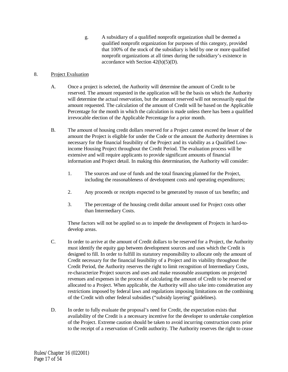g. A subsidiary of a qualified nonprofit organization shall be deemed a qualified nonprofit organization for purposes of this category, provided that 100% of the stock of the subsidiary is held by one or more qualified nonprofit organizations at all times during the subsidiary's existence in accordance with Section  $42(h)(5)(D)$ .

# 8. Project Evaluation

- A. Once a project is selected, the Authority will determine the amount of Credit to be reserved. The amount requested in the application will be the basis on which the Authority will determine the actual reservation, but the amount reserved will not necessarily equal the amount requested. The calculation of the amount of Credit will be based on the Applicable Percentage for the month in which the calculation is made unless there has been a qualified irrevocable election of the Applicable Percentage for a prior month.
- B. The amount of housing credit dollars reserved for a Project cannot exceed the lesser of the amount the Project is eligible for under the Code or the amount the Authority determines is necessary for the financial feasibility of the Project and its viability as a Qualified Lowincome Housing Project throughout the Credit Period. The evaluation process will be extensive and will require applicants to provide significant amounts of financial information and Project detail. In making this determination, the Authority will consider:
	- 1. The sources and use of funds and the total financing planned for the Project, including the reasonableness of development costs and operating expenditures;
	- 2. Any proceeds or receipts expected to be generated by reason of tax benefits; and
	- 3. The percentage of the housing credit dollar amount used for Project costs other than Intermediary Costs.

These factors will not be applied so as to impede the development of Projects in hard-todevelop areas.

- C. In order to arrive at the amount of Credit dollars to be reserved for a Project, the Authority must identify the equity gap between development sources and uses which the Credit is designed to fill. In order to fulfill its statutory responsibility to allocate only the amount of Credit necessary for the financial feasibility of a Project and its viability throughout the Credit Period, the Authority reserves the right to limit recognition of Intermediary Costs, re-characterize Project sources and uses and make reasonable assumptions on projected revenues and expenses in the process of calculating the amount of Credit to be reserved or allocated to a Project. When applicable, the Authority will also take into consideration any restrictions imposed by federal laws and regulations imposing limitations on the combining of the Credit with other federal subsidies ("subsidy layering" guidelines).
- D. In order to fully evaluate the proposal's need for Credit, the expectation exists that availability of the Credit is a necessary incentive for the developer to undertake completion of the Project. Extreme caution should be taken to avoid incurring construction costs prior to the receipt of a reservation of Credit authority. The Authority reserves the right to cease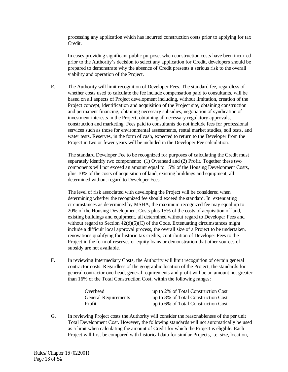processing any application which has incurred construction costs prior to applying for tax Credit.

In cases providing significant public purpose, when construction costs have been incurred prior to the Authority's decision to select any application for Credit, developers should be prepared to demonstrate why the absence of Credit presents a serious risk to the overall viability and operation of the Project.

E. The Authority will limit recognition of Developer Fees. The standard fee, regardless of whether costs used to calculate the fee include compensation paid to consultants, will be based on all aspects of Project development including, without limitation, creation of the Project concept, identification and acquisition of the Project site, obtaining construction and permanent financing, obtaining necessary subsidies, negotiation of syndication of investment interests in the Project, obtaining all necessary regulatory approvals, construction and marketing. Fees paid to consultants do not include fees for professional services such as those for environmental assessments, rental market studies, soil tests, and water tests. Reserves, in the form of cash, expected to return to the Developer from the Project in two or fewer years will be included in the Developer Fee calculation.

The standard Developer Fee to be recognized for purposes of calculating the Credit must separately identify two components: (1) Overhead and (2) Profit. Together these two components will not exceed an amount equal to 15% of the Housing Development Costs, plus 10% of the costs of acquisition of land, existing buildings and equipment, all determined without regard to Developer Fees.

The level of risk associated with developing the Project will be considered when determining whether the recognized fee should exceed the standard. In extenuating circumstances as determined by MSHA, the maximum recognized fee may equal up to 20% of the Housing Development Costs plus 15% of the costs of acquisition of land, existing buildings and equipment, all determined without regard to Developer Fees and without regard to Section  $42(d)(5)(C)$  of the Code. Extenuating circumstances might include a difficult local approval process, the overall size of a Project to be undertaken, renovations qualifying for historic tax credits, contribution of Developer Fees to the Project in the form of reserves or equity loans or demonstration that other sources of subsidy are not available.

F. In reviewing Intermediary Costs, the Authority will limit recognition of certain general contractor costs. Regardless of the geographic location of the Project, the standards for general contractor overhead, general requirements and profit will be an amount not greater than 16% of the Total Construction Cost, within the following ranges:

| Overhead                    | up to 2% of Total Construction Cost |
|-----------------------------|-------------------------------------|
| <b>General Requirements</b> | up to 8% of Total Construction Cost |
| Profit                      | up to 6% of Total Construction Cost |

G. In reviewing Project costs the Authority will consider the reasonableness of the per unit Total Development Cost. However, the following standards will not automatically be used as a limit when calculating the amount of Credit for which the Project is eligible. Each Project will first be compared with historical data for similar Projects, i.e. size, location,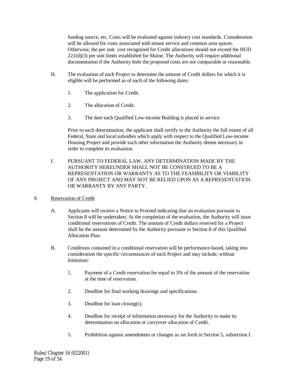funding source, etc. Costs will be evaluated against industry cost standards. Consideration will be allowed for costs associated with tenant service and common area spaces. Otherwise, the per unit cost recognized for Credit allocations should not exceed the HUD 221(d)(3) per unit limits established for Maine. The Authority will require additional documentation if the Authority feels the proposed costs are not comparable or reasonable.

- H. The evaluation of each Project to determine the amount of Credit dollars for which it is eligible will be performed as of each of the following dates:
	- 1. The application for Credit.
	- 2. The allocation of Credit.
	- 3. The date each Qualified Low-income Building is placed in service.

Prior to each determination, the applicant shall certify to the Authority the full extent of all Federal, State and local subsidies which apply with respect to the Qualified Low-income Housing Project and provide such other information the Authority deems necessary in order to complete its evaluation.

- I. PURSUANT TO FEDERAL LAW, ANY DETERMINATION MADE BY THE AUTHORITY HEREUNDER SHALL NOT BE CONSTRUED TO BE A REPRESENTATION OR WARRANTY AS TO THE FEASIBILITY OR VIABILITY OF ANY PROJECT AND MAY NOT BE RELIED UPON AS A REPRESENTATION OR WARRANTY BY ANY PARTY.
- 9. Reservation of Credit
	- A. Applicants will receive a Notice to Proceed indicating that an evaluation pursuant to Section 8 will be undertaken. At the completion of the evaluation, the Authority will issue conditional reservations of Credit. The amount of Credit dollars reserved for a Project shall be the amount determined by the Authority pursuant to Section 8 of this Qualified Allocation Plan.
	- B. Conditions contained in a conditional reservation will be performance-based, taking into consideration the specific circumstances of each Project and may include, without limitation:
		- 1. Payment of a Credit reservation fee equal to 3% of the amount of the reservation at the time of reservation.
		- 2. Deadline for final working drawings and specifications.
		- 3. Deadline for loan closing(s).
		- 4. Deadline for receipt of information necessary for the Authority to make its determination on allocation or carryover allocation of Credit.
		- 5. Prohibition against amendments or changes as set forth in Section 5, subsection I.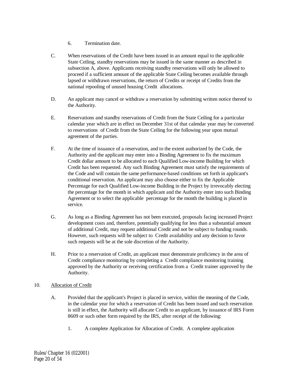- 6. Termination date.
- C. When reservations of the Credit have been issued in an amount equal to the applicable State Ceiling, standby reservations may be issued in the same manner as described in subsection A, above. Applicants receiving standby reservations will only be allowed to proceed if a sufficient amount of the applicable State Ceiling becomes available through lapsed or withdrawn reservations, the return of Credits or receipt of Credits from the national repooling of unused housing Credit allocations.
- D. An applicant may cancel or withdraw a reservation by submitting written notice thereof to the Authority.
- E. Reservations and standby reservations of Credit from the State Ceiling for a particular calendar year which are in effect on December 31st of that calendar year may be converted to reservations of Credit from the State Ceiling for the following year upon mutual agreement of the parties.
- F. At the time of issuance of a reservation, and to the extent authorized by the Code, the Authority and the applicant may enter into a Binding Agreement to fix the maximum Credit dollar amount to be allocated to each Qualified Low-income Building for which Credit has been requested. Any such Binding Agreement must satisfy the requirements of the Code and will contain the same performance-based conditions set forth in applicant's conditional reservation. An applicant may also choose either to fix the Applicable Percentage for each Qualified Low-income Building in the Project by irrevocably electing the percentage for the month in which applicant and the Authority enter into such Binding Agreement or to select the applicable percentage for the month the building is placed in service.
- G. As long as a Binding Agreement has not been executed, proposals facing increased Project development costs and, therefore, potentially qualifying for less than a substantial amount of additional Credit, may request additional Credit and not be subject to funding rounds. However, such requests will be subject to Credit availability and any decision to favor such requests will be at the sole discretion of the Authority.
- H. Prior to a reservation of Credit, an applicant must demonstrate proficiency in the area of Credit compliance monitoring by completing a Credit compliance monitoring training approved by the Authority or receiving certification from a Credit trainer approved by the Authority.

# 10. Allocation of Credit

- A. Provided that the applicant's Project is placed in service, within the meaning of the Code, in the calendar year for which a reservation of Credit has been issued and such reservation is still in effect, the Authority will allocate Credit to an applicant, by issuance of IRS Form 8609 or such other form required by the IRS, after receipt of the following:
	- 1. A complete Application for Allocation of Credit. A complete application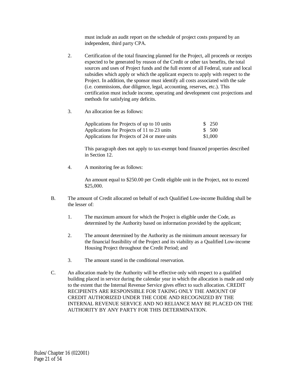must include an audit report on the schedule of project costs prepared by an independent, third party CPA.

- 2. Certification of the total financing planned for the Project, all proceeds or receipts expected to be generated by reason of the Credit or other tax benefits, the total sources and uses of Project funds and the full extent of all Federal, state and local subsidies which apply or which the applicant expects to apply with respect to the Project. In addition, the sponsor must identify all costs associated with the sale (i.e. commissions, due diligence, legal, accounting, reserves, etc.). This certification must include income, operating and development cost projections and methods for satisfying any deficits.
- 3. An allocation fee as follows:

| Applications for Projects of up to 10 units   | \$ 250  |
|-----------------------------------------------|---------|
| Applications for Projects of 11 to 23 units   | \$ 500  |
| Applications for Projects of 24 or more units | \$1,000 |

This paragraph does not apply to tax-exempt bond financed properties described in Section 12.

4. A monitoring fee as follows:

An amount equal to \$250.00 per Credit eligible unit in the Project, not to exceed \$25,000.

- B. The amount of Credit allocated on behalf of each Qualified Low-income Building shall be the lesser of:
	- 1. The maximum amount for which the Project is eligible under the Code, as determined by the Authority based on information provided by the applicant;
	- 2. The amount determined by the Authority as the minimum amount necessary for the financial feasibility of the Project and its viability as a Qualified Low-income Housing Project throughout the Credit Period; and
	- 3. The amount stated in the conditional reservation.
- C. An allocation made by the Authority will be effective only with respect to a qualified building placed in service during the calendar year in which the allocation is made and only to the extent that the Internal Revenue Service gives effect to such allocation. CREDIT RECIPIENTS ARE RESPONSIBLE FOR TAKING ONLY THE AMOUNT OF CREDIT AUTHORIZED UNDER THE CODE AND RECOGNIZED BY THE INTERNAL REVENUE SERVICE AND NO RELIANCE MAY BE PLACED ON THE AUTHORITY BY ANY PARTY FOR THIS DETERMINATION.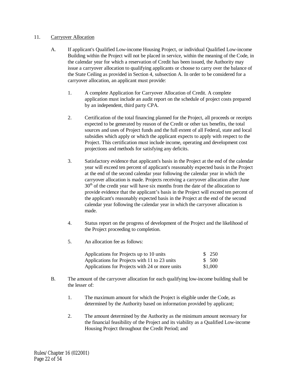# 11. Carryover Allocation

- A. If applicant's Qualified Low-income Housing Project, or individual Qualified Low-income Building within the Project will not be placed in service, within the meaning of the Code, in the calendar year for which a reservation of Credit has been issued, the Authority may issue a carryover allocation to qualifying applicants or choose to carry over the balance of the State Ceiling as provided in Section 4, subsection A. In order to be considered for a carryover allocation, an applicant must provide:
	- 1. A complete Application for Carryover Allocation of Credit. A complete application must include an audit report on the schedule of project costs prepared by an independent, third party CPA.
	- 2. Certification of the total financing planned for the Project, all proceeds or receipts expected to be generated by reason of the Credit or other tax benefits, the total sources and uses of Project funds and the full extent of all Federal, state and local subsidies which apply or which the applicant expects to apply with respect to the Project. This certification must include income, operating and development cost projections and methods for satisfying any deficits.
	- 3. Satisfactory evidence that applicant's basis in the Project at the end of the calendar year will exceed ten percent of applicant's reasonably expected basis in the Project at the end of the second calendar year following the calendar year in which the carryover allocation is made. Projects receiving a carryover allocation after June  $30<sup>th</sup>$  of the credit year will have six months from the date of the allocation to provide evidence that the applicant's basis in the Project will exceed ten percent of the applicant's reasonably expected basis in the Project at the end of the second calendar year following the calendar year in which the carryover allocation is made.
	- 4. Status report on the progress of development of the Project and the likelihood of the Project proceeding to completion.
	- 5. An allocation fee as follows:

| Applications for Projects up to 10 units        | \$ 250  |
|-------------------------------------------------|---------|
| Applications for Projects with 11 to 23 units   | \$ 500  |
| Applications for Projects with 24 or more units | \$1,000 |

- B. The amount of the carryover allocation for each qualifying low-income building shall be the lesser of:
	- 1. The maximum amount for which the Project is eligible under the Code, as determined by the Authority based on information provided by applicant;
	- 2. The amount determined by the Authority as the minimum amount necessary for the financial feasibility of the Project and its viability as a Qualified Low-income Housing Project throughout the Credit Period; and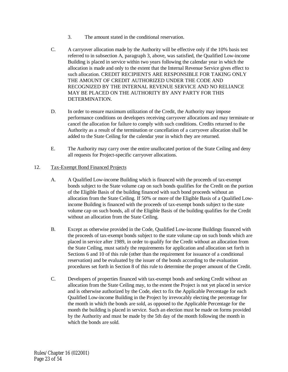- 3. The amount stated in the conditional reservation.
- C. A carryover allocation made by the Authority will be effective only if the 10% basis test referred to in subsection A, paragraph 3, above, was satisfied, the Qualified Low-income Building is placed in service within two years following the calendar year in which the allocation is made and only to the extent that the Internal Revenue Service gives effect to such allocation. CREDIT RECIPIENTS ARE RESPONSIBLE FOR TAKING ONLY THE AMOUNT OF CREDIT AUTHORIZED UNDER THE CODE AND RECOGNIZED BY THE INTERNAL REVENUE SERVICE AND NO RELIANCE MAY BE PLACED ON THE AUTHORITY BY ANY PARTY FOR THIS DETERMINATION.
- D. In order to ensure maximum utilization of the Credit, the Authority may impose performance conditions on developers receiving carryover allocations and may terminate or cancel the allocation for failure to comply with such conditions. Credits returned to the Authority as a result of the termination or cancellation of a carryover allocation shall be added to the State Ceiling for the calendar year in which they are returned.
- E. The Authority may carry over the entire unallocated portion of the State Ceiling and deny all requests for Project-specific carryover allocations.

# 12. Tax-Exempt Bond Financed Projects

- A. A Qualified Low-income Building which is financed with the proceeds of tax-exempt bonds subject to the State volume cap on such bonds qualifies for the Credit on the portion of the Eligible Basis of the building financed with such bond proceeds without an allocation from the State Ceiling. If 50% or more of the Eligible Basis of a Qualified Lowincome Building is financed with the proceeds of tax-exempt bonds subject to the state volume cap on such bonds, all of the Eligible Basis of the building qualifies for the Credit without an allocation from the State Ceiling.
- B. Except as otherwise provided in the Code, Qualified Low-income Buildings financed with the proceeds of tax-exempt bonds subject to the state volume cap on such bonds which are placed in service after 1989, in order to qualify for the Credit without an allocation from the State Ceiling, must satisfy the requirements for application and allocation set forth in Sections 6 and 10 of this rule (other than the requirement for issuance of a conditional reservation) and be evaluated by the issuer of the bonds according to the evaluation procedures set forth in Section 8 of this rule to determine the proper amount of the Credit.
- C. Developers of properties financed with tax-exempt bonds and seeking Credit without an allocation from the State Ceiling may, to the extent the Project is not yet placed in service and is otherwise authorized by the Code, elect to fix the Applicable Percentage for each Qualified Low-income Building in the Project by irrevocably electing the percentage for the month in which the bonds are sold, as opposed to the Applicable Percentage for the month the building is placed in service. Such an election must be made on forms provided by the Authority and must be made by the 5th day of the month following the month in which the bonds are sold.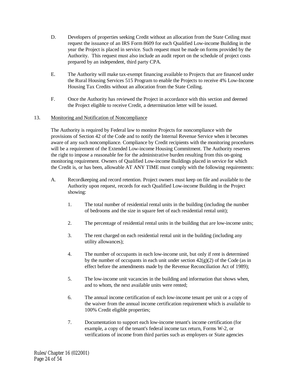- D. Developers of properties seeking Credit without an allocation from the State Ceiling must request the issuance of an IRS Form 8609 for each Qualified Low-income Building in the year the Project is placed in service. Such request must be made on forms provided by the Authority. This request must also include an audit report on the schedule of project costs prepared by an independent, third party CPA.
- E. The Authority will make tax-exempt financing available to Projects that are financed under the Rural Housing Services 515 Program to enable the Projects to receive 4% Low-Income Housing Tax Credits without an allocation from the State Ceiling.
- F. Once the Authority has reviewed the Project in accordance with this section and deemed the Project eligible to receive Credit, a determination letter will be issued.

# 13. Monitoring and Notification of Noncompliance

The Authority is required by Federal law to monitor Projects for noncompliance with the provisions of Section 42 of the Code and to notify the Internal Revenue Service when it becomes aware of any such noncompliance. Compliance by Credit recipients with the monitoring procedures will be a requirement of the Extended Low-income Housing Commitment. The Authority reserves the right to impose a reasonable fee for the administrative burden resulting from this on-going monitoring requirement. Owners of Qualified Low-income Buildings placed in service for which the Credit is, or has been, allowable AT ANY TIME must comply with the following requirements:

- A. Recordkeeping and record retention. Project owners must keep on file and available to the Authority upon request, records for each Qualified Low-income Building in the Project showing:
	- 1. The total number of residential rental units in the building (including the number of bedrooms and the size in square feet of each residential rental unit);
	- 2. The percentage of residential rental units in the building that are low-income units;
	- 3. The rent charged on each residential rental unit in the building (including any utility allowances);
	- 4. The number of occupants in each low-income unit, but only if rent is determined by the number of occupants in each unit under section  $42(g)(2)$  of the Code (as in effect before the amendments made by the Revenue Reconciliation Act of 1989);
	- 5. The low-income unit vacancies in the building and information that shows when, and to whom, the next available units were rented;
	- 6. The annual income certification of each low-income tenant per unit or a copy of the waiver from the annual income certification requirement which is available to 100% Credit eligible properties;
	- 7. Documentation to support each low-income tenant's income certification (for example, a copy of the tenant's federal income tax return, Forms W-2, or verifications of income from third parties such as employers or State agencies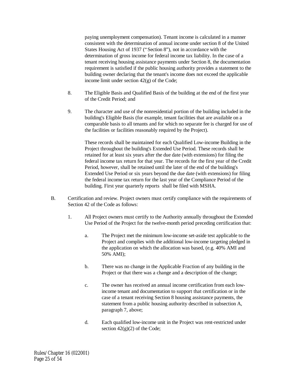paying unemployment compensation). Tenant income is calculated in a manner consistent with the determination of annual income under section 8 of the United States Housing Act of 1937 ("Section 8"), not in accordance with the determination of gross income for federal income tax liability. In the case of a tenant receiving housing assistance payments under Section 8, the documentation requirement is satisfied if the public housing authority provides a statement to the building owner declaring that the tenant's income does not exceed the applicable income limit under section 42(g) of the Code;

- 8. The Eligible Basis and Qualified Basis of the building at the end of the first year of the Credit Period; and
- 9. The character and use of the nonresidential portion of the building included in the building's Eligible Basis (for example, tenant facilities that are available on a comparable basis to all tenants and for which no separate fee is charged for use of the facilities or facilities reasonably required by the Project).

These records shall be maintained for each Qualified Low-income Building in the Project throughout the building's Extended Use Period. These records shall be retained for at least six years after the due date (with extensions) for filing the federal income tax return for that year. The records for the first year of the Credit Period, however, shall be retained until the later of the end of the building's Extended Use Period or six years beyond the due date (with extensions) for filing the federal income tax return for the last year of the Compliance Period of the building. First year quarterly reports shall be filed with MSHA.

- B. Certification and review. Project owners must certify compliance with the requirements of Section 42 of the Code as follows:
	- 1. All Project owners must certify to the Authority annually throughout the Extended Use Period of the Project for the twelve-month period preceding certification that:
		- a. The Project met the minimum low-income set-aside test applicable to the Project and complies with the additional low-income targeting pledged in the application on which the allocation was based, (e.g. 40% AMI and 50% AMI);
		- b. There was no change in the Applicable Fraction of any building in the Project or that there was a change and a description of the change;
		- c. The owner has received an annual income certification from each lowincome tenant and documentation to support that certification or in the case of a tenant receiving Section 8 housing assistance payments, the statement from a public housing authority described in subsection A, paragraph 7, above;
		- d. Each qualified low-income unit in the Project was rent-restricted under section  $42(g)(2)$  of the Code;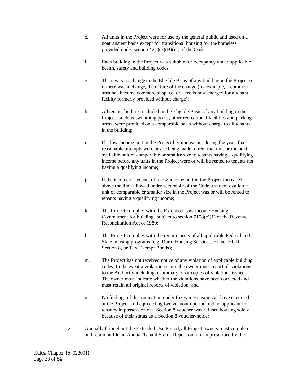- e. All units in the Project were for use by the general public and used on a nontransient basis except for transitional housing for the homeless provided under section  $42(i)(3)(B)(iii)$  of the Code;
- f. Each building in the Project was suitable for occupancy under applicable health, safety and building codes;
- g. There was no change in the Eligible Basis of any building in the Project or if there was a change, the nature of the change (for example, a common area has become commercial space, or a fee is now charged for a tenant facility formerly provided without charge);
- h. All tenant facilities included in the Eligible Basis of any building in the Project, such as swimming pools, other recreational facilities and parking areas, were provided on a comparable basis without charge to all tenants in the building;
- i. If a low-income unit in the Project became vacant during the year, that reasonable attempts were or are being made to rent that unit or the next available unit of comparable or smaller size to tenants having a qualifying income before any units in the Project were or will be rented to tenants not having a qualifying income;
- j. If the income of tenants of a low-income unit in the Project increased above the limit allowed under section 42 of the Code, the next available unit of comparable or smaller size in the Project was or will be rented to tenants having a qualifying income;
- k. The Project complies with the Extended Low-income Housing Commitment for buildings subject to section  $7108(c)(1)$  of the Revenue Reconciliation Act of 1989;
- l. The Project complies with the requirements of all applicable Federal and State housing programs (e.g. Rural Housing Services, Home, HUD Section 8, or Tax-Exempt Bonds);
- m. The Project has not received notice of any violation of applicable building codes. In the event a violation occurs the owner must report all violations to the Authority including a summary of or copies of violations issued. The owner must indicate whether the violations have been corrected and must retain all original reports of violation; and
- n. No findings of discrimination under the Fair Housing Act have occurred at the Project in the preceding twelve month period and no applicant for tenancy in possession of a Section 8 voucher was refused housing solely because of their status as a Section 8 voucher-holder.
- 2. Annually throughout the Extended Use Period, all Project owners must complete and retain on file an Annual Tenant Status Report on a form prescribed by the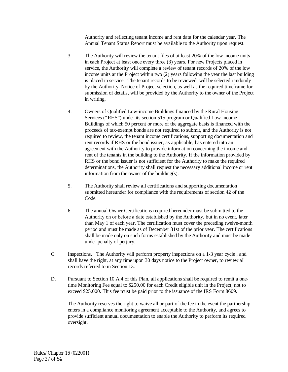Authority and reflecting tenant income and rent data for the calendar year. The Annual Tenant Status Report must be available to the Authority upon request.

- 3. The Authority will review the tenant files of at least 20% of the low income units in each Project at least once every three (3) years. For new Projects placed in service, the Authority will complete a review of tenant records of 20% of the low income units at the Project within two (2) years following the year the last building is placed in service. The tenant records to be reviewed, will be selected randomly by the Authority. Notice of Project selection, as well as the required timeframe for submission of details, will be provided by the Authority to the owner of the Project in writing.
- 4. Owners of Qualified Low-income Buildings financed by the Rural Housing Services ("RHS") under its section 515 program or Qualified Low-income Buildings of which 50 percent or more of the aggregate basis is financed with the proceeds of tax-exempt bonds are not required to submit, and the Authority is not required to review, the tenant income certifications, supporting documentation and rent records if RHS or the bond issuer, as applicable, has entered into an agreement with the Authority to provide information concerning the income and rent of the tenants in the building to the Authority. If the information provided by RHS or the bond issuer is not sufficient for the Authority to make the required determinations, the Authority shall request the necessary additional income or rent information from the owner of the building(s).
- 5. The Authority shall review all certifications and supporting documentation submitted hereunder for compliance with the requirements of section 42 of the Code.
- 6. The annual Owner Certifications required hereunder must be submitted to the Authority on or before a date established by the Authority, but in no event, later than May 1 of each year. The certification must cover the preceding twelve-month period and must be made as of December 31st of the prior year. The certifications shall be made only on such forms established by the Authority and must be made under penalty of perjury.
- C. Inspections. The Authority will perform property inspections on a 1-3 year cycle , and shall have the right, at any time upon 30 days notice to the Project owner, to review all records referred to in Section 13.
- D. Pursuant to Section 10.A.4 of this Plan, all applications shall be required to remit a onetime Monitoring Fee equal to \$250.00 for each Credit eligible unit in the Project, not to exceed \$25,000. This fee must be paid prior to the issuance of the IRS Form 8609.

The Authority reserves the right to waive all or part of the fee in the event the partnership enters in a compliance monitoring agreement acceptable to the Authority, and agrees to provide sufficient annual documentation to enable the Authority to perform its required oversight.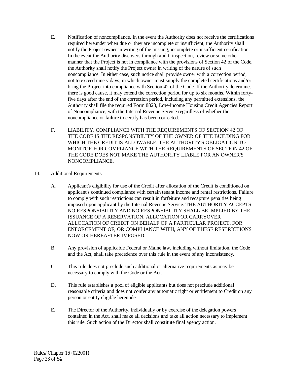- E. Notification of noncompliance. In the event the Authority does not receive the certifications required hereunder when due or they are incomplete or insufficient, the Authority shall notify the Project owner in writing of the missing, incomplete or insufficient certification. In the event the Authority discovers through audit, inspection, review or some other manner that the Project is not in compliance with the provisions of Section 42 of the Code, the Authority shall notify the Project owner in writing of the nature of such noncompliance. In either case, such notice shall provide owner with a correction period, not to exceed ninety days, in which owner must supply the completed certifications and/or bring the Project into compliance with Section 42 of the Code. If the Authority determines there is good cause, it may extend the correction period for up to six months. Within fortyfive days after the end of the correction period, including any permitted extensions, the Authority shall file the required Form 8823, Low-Income Housing Credit Agencies Report of Noncompliance, with the Internal Revenue Service regardless of whether the noncompliance or failure to certify has been corrected.
- F. LIABILITY. COMPLIANCE WITH THE REQUIREMENTS OF SECTION 42 OF THE CODE IS THE RESPONSIBILITY OF THE OWNER OF THE BUILDING FOR WHICH THE CREDIT IS ALLOWABLE. THE AUTHORITY'S OBLIGATION TO MONITOR FOR COMPLIANCE WITH THE REQUIREMENTS OF SECTION 42 OF THE CODE DOES NOT MAKE THE AUTHORITY LIABLE FOR AN OWNER'S NONCOMPLIANCE.
- 14. Additional Requirements
	- A. Applicant's eligibility for use of the Credit after allocation of the Credit is conditioned on applicant's continued compliance with certain tenant income and rental restrictions. Failure to comply with such restrictions can result in forfeiture and recapture penalties being imposed upon applicant by the Internal Revenue Service. THE AUTHORITY ACCEPTS NO RESPONSIBILITY AND NO RESPONSIBILITY SHALL BE IMPLIED BY THE ISSUANCE OF A RESERVATION, ALLOCATION OR CARRYOVER ALLOCATION OF CREDIT ON BEHALF OF A PARTICULAR PROJECT, FOR ENFORCEMENT OF, OR COMPLIANCE WITH, ANY OF THESE RESTRICTIONS NOW OR HEREAFTER IMPOSED.
	- B. Any provision of applicable Federal or Maine law, including without limitation, the Code and the Act, shall take precedence over this rule in the event of any inconsistency.
	- C. This rule does not preclude such additional or alternative requirements as may be necessary to comply with the Code or the Act.
	- D. This rule establishes a pool of eligible applicants but does not preclude additional reasonable criteria and does not confer any automatic right or entitlement to Credit on any person or entity eligible hereunder.
	- E. The Director of the Authority, individually or by exercise of the delegation powers contained in the Act, shall make all decisions and take all action necessary to implement this rule. Such action of the Director shall constitute final agency action.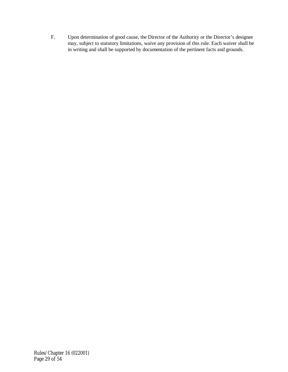F. Upon determination of good cause, the Director of the Authority or the Director's designee may, subject to statutory limitations, waive any provision of this rule. Each waiver shall be in writing and shall be supported by documentation of the pertinent facts and grounds.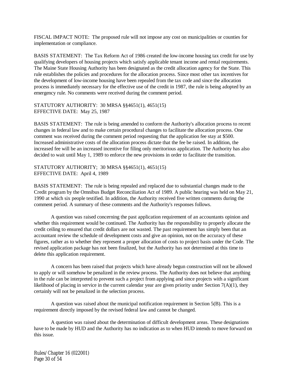FISCAL IMPACT NOTE: The proposed rule will not impose any cost on municipalities or counties for implementation or compliance.

BASIS STATEMENT: The Tax Reform Act of 1986 created the low-income housing tax credit for use by qualifying developers of housing projects which satisfy applicable tenant income and rental requirements. The Maine State Housing Authority has been designated as the credit allocation agency for the State. This rule establishes the policies and procedures for the allocation process. Since most other tax incentives for the development of low-income housing have been repealed from the tax code and since the allocation process is immediately necessary for the effective use of the credit in 1987, the rule is being adopted by an emergency rule. No comments were received during the comment period.

#### STATUTORY AUTHORITY: 30 MRSA §§4651(1), 4651(15) EFFECTIVE DATE: May 25, 1987

BASIS STATEMENT: The rule is being amended to conform the Authority's allocation process to recent changes in federal law and to make certain procedural changes to facilitate the allocation process. One comment was received during the comment period requesting that the application fee stay at \$500. Increased administrative costs of the allocation process dictate that the fee be raised. In addition, the increased fee will be an increased incentive for filing only meritorious application. The Authority has also decided to wait until May 1, 1989 to enforce the new provisions in order to facilitate the transition.

STATUTORY AUTHORITY; 30 MRSA §§4651(1), 4651(15) EFFECTIVE DATE: April 4, 1989

BASIS STATEMENT: The rule is being repealed and replaced due to substantial changes made to the Credit program by the Omnibus Budget Reconciliation Act of 1989. A public hearing was held on May 21, 1990 at which six people testified. In addition, the Authority received five written comments during the comment period. A summary of these comments and the Authority's responses follows.

A question was raised concerning the past application requirement of an accountants opinion and whether this requirement would be continued. The Authority has the responsibility to properly allocate the credit ceiling to ensured that credit dollars are not wasted. The past requirement has simply been that an accountant review the schedule of development costs and give an opinion, not on the accuracy of these figures, rather as to whether they represent a proper allocation of costs to project basis under the Code. The revised application package has not been finalized, but the Authority has not determined at this time to delete this application requirement.

A concern has been raised that projects which have already begun construction will not be allowed to apply or will somehow be penalized in the review process. The Authority does not believe that anything in the rule can be interpreted to prevent such a project from applying and since projects with a significant likelihood of placing in service in the current calendar year are given priority under Section 7(A)(1), they certainly will not be penalized in the selection process.

A question was raised about the municipal notification requirement in Section 5(B). This is a requirement directly imposed by the revised federal law and cannot be changed.

A question was raised about the determination of difficult development areas. These designations have to be made by HUD and the Authority has no indication as to when HUD intends to move forward on this issue.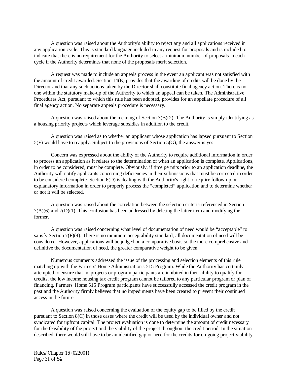A question was raised about the Authority's ability to reject any and all applications received in any application cycle. This is standard language included in any request for proposals and is included to indicate that there is no requirement for the Authority to select a minimum number of proposals in each cycle if the Authority determines that none of the proposals merit selection.

A request was made to include an appeals process in the event an applicant was not satisfied with the amount of credit awarded. Section 14(E) provides that the awarding of credits will be done by the Director and that any such actions taken by the Director shall constitute final agency action. There is no one within the statutory make-up of the Authority to which an appeal can be taken. The Administrative Procedures Act, pursuant to which this rule has been adopted, provides for an appellate procedure of all final agency action. No separate appeals procedure is necessary.

A question was raised about the meaning of Section  $3(B)(2)$ . The Authority is simply identifying as a housing priority projects which leverage subsidies in addition to the credit.

A question was raised as to whether an applicant whose application has lapsed pursuant to Section 5(F) would have to reapply. Subject to the provisions of Section 5(G), the answer is yes.

Concern was expressed about the ability of the Authority to require additional information in order to process an application as it relates to the determination of when an application is complete. Applications, in order to be considered, must be complete. Obviously, if time permits prior to an application deadline, the Authority will notify applicants concerning deficiencies in their submissions that must be corrected in order to be considered complete. Section 6(D) is dealing with the Authority's right to require follow-up or explanatory information in order to properly process the "completed" application and to determine whether or not it will be selected.

A question was raised about the correlation between the selection criteria referenced in Section 7(A)(6) and 7(D)(1). This confusion has been addressed by deleting the latter item and modifying the former.

A question was raised concerning what level of documentation of need would be "acceptable" to satisfy Section 7(F)(4). There is no minimum acceptability standard, all documentation of need will be considered. However, applications will be judged on a comparative basis so the more comprehensive and definitive the documentation of need, the greater comparative weight to be given.

Numerous comments addressed the issue of the processing and selection elements of this rule matching up with the Farmers' Home Administration's 515 Program. While the Authority has certainly attempted to ensure that no projects or program participants are inhibited in their ability to qualify for credits, the low income housing tax credit program cannot be tailored to any particular program or plan of financing. Farmers' Home 515 Program participants have successfully accessed the credit program in the past and the Authority firmly believes that no impediments have been created to prevent their continued access in the future.

A question was raised concerning the evaluation of the equity gap to be filled by the credit pursuant to Section 8(C) in those cases where the credit will be used by the individual owner and not syndicated for upfront capital. The project evaluation is done to determine the amount of credit necessary for the feasibility of the project and the viability of the project throughout the credit period. In the situation described, there would still have to be an identified gap or need for the credits for on-going project viability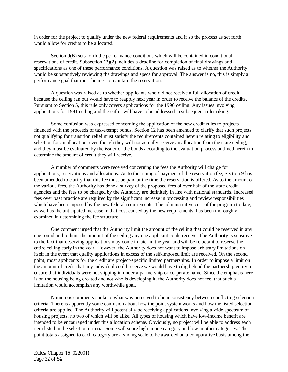in order for the project to qualify under the new federal requirements and if so the process as set forth would allow for credits to be allocated.

Section 9(B) sets forth the performance conditions which will be contained in conditional reservations of credit. Subsection (B)(2) includes a deadline for completion of final drawings and specifications as one of these performance conditions. A question was raised as to whether the Authority would be substantively reviewing the drawings and specs for approval. The answer is no, this is simply a performance goal that must be met to maintain the reservation.

A question was raised as to whether applicants who did not receive a full allocation of credit because the ceiling ran out would have to reapply next year in order to receive the balance of the credits. Pursuant to Section 5, this rule only covers applications for the 1990 ceiling. Any issues involving applications for 1991 ceiling and thereafter will have to be addressed in subsequent rulemaking.

Some confusion was expressed concerning the application of the new credit rules to projects financed with the proceeds of tax-exempt bonds. Section 12 has been amended to clarify that such projects not qualifying for transition relief must satisfy the requirements contained herein relating to eligibility and selection for an allocation, even though they will not actually receive an allocation from the state ceiling, and they must be evaluated by the issuer of the bonds according to the evaluation process outlined herein to determine the amount of credit they will receive.

A number of comments were received concerning the fees the Authority will charge for applications, reservations and allocations. As to the timing of payment of the reservation fee, Section 9 has been amended to clarify that this fee must be paid at the time the reservation is offered. As to the amount of the various fees, the Authority has done a survey of the proposed fees of over half of the state credit agencies and the fees to be charged by the Authority are definitely in line with national standards. Increased fees over past practice are required by the significant increase in processing and review responsibilities which have been imposed by the new federal requirements. The administrative cost of the program to date, as well as the anticipated increase in that cost caused by the new requirements, has been thoroughly examined in determining the fee structure.

One comment urged that the Authority limit the amount of the ceiling that could be reserved in any one round and to limit the amount of the ceiling any one applicant could receive. The Authority is sensitive to the fact that deserving applications may come in later in the year and will be reluctant to reserve the entire ceiling early in the year. However, the Authority does not want to impose arbitrary limitations on itself in the event that quality applications in excess of the self-imposed limit are received. On the second point, most applicants for the credit are project-specific limited partnerships. In order to impose a limit on the amount of credit that any individual could receive we would have to dig behind the partnership entity to ensure that individuals were not slipping in under a partnership or corporate name. Since the emphasis here is on the housing being created and not who is developing it, the Authority does not feel that such a limitation would accomplish any worthwhile goal.

Numerous comments spoke to what was perceived to be inconsistency between conflicting selection criteria. There is apparently some confusion about how the point system works and how the listed selection criteria are applied. The Authority will potentially be receiving applications involving a wide spectrum of housing projects, no two of which will be alike. All types of housing which have low-income benefit are intended to be encouraged under this allocation scheme. Obviously, no project will be able to address each item listed in the selection criteria. Some will score high in one category and low in other categories. The point totals assigned to each category are a sliding scale to be awarded on a comparative basis among the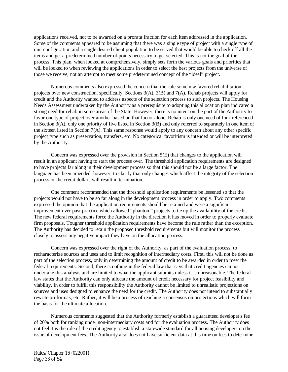applications received, not to be awarded on a prorata fraction for each item addressed in the application. Some of the comments appeared to be assuming that there was a single type of project with a single type of unit configuration and a single desired client population to be served that would be able to check off all the items and get a predetermined number of points necessary to get selected. This is not the goal of the process. This plan, when looked at comprehensively, simply sets forth the various goals and priorities that will be looked to when reviewing the applications in order to select the best projects from the universe of those we receive, not an attempt to meet some predetermined concept of the "ideal" project.

Numerous comments also expressed the concern that the rule somehow favored rehabilitation projects over new construction, specifically, Sections 3(A), 3(B) and 7(A). Rehab projects will apply for credit and the Authority wanted to address aspects of the selection process to such projects. The Housing Needs Assessment undertaken by the Authority as a prerequisite to adopting this allocation plan indicated a strong need for rehab in some areas of the State. However, there is no intent on the part of the Authority to favor one type of project over another based on that factor alone. Rehab is only one need of four referenced in Section 3(A), only one priority of five listed in Section 3(B) and only referred to separately in one item of the sixteen listed in Section 7(A). This same response would apply to any concern about any other specific project type such as preservation, transfers, etc. No categorical favoritism is intended or will be interpreted by the Authority.

Concern was expressed over the provision in Section 5(E) that changes to the application will result in an applicant having to start the process over. The threshold application requirements are designed to have projects far along in their development process so that this should not be a large factor. The language has been amended, however, to clarify that only changes which affect the integrity of the selection process or the credit dollars will result in termination.

One comment recommended that the threshold application requirements be lessened so that the projects would not have to be so far along in the development process in order to apply. Two comments expressed the opinion that the application requirements should be retained and were a significant improvement over past practice which allowed "phantom" projects to tie up the availability of the credit. The new federal requirements force the Authority in the direction it has moved in order to properly evaluate firm proposals. Tougher threshold application requirements have become the rule rather than the exception. The Authority has decided to retain the proposed threshold requirements but will monitor the process closely to assess any negative impact they have on the allocation process.

Concern was expressed over the right of the Authority, as part of the evaluation process, to recharacterize sources and uses and to limit recognition of intermediary costs. First, this will not be done as part of the selection process, only in determining the amount of credit to be awarded in order to meet the federal requirements. Second, there is nothing in the federal law that says that credit agencies cannot undertake this analysis and are limited to what the applicant submits unless it is unreasonable. The federal law states that the Authority can only allocate the amount of credit necessary for project feasibility and viability. In order to fulfill this responsibility the Authority cannot be limited to unrealistic projections on sources and uses designed to enhance the need for the credit. The Authority does not intend to substantially rewrite proformas, etc. Rather, it will be a process of reaching a consensus on projections which will form the basis for the ultimate allocation.

Numerous comments suggested that the Authority formerly establish a guaranteed developer's fee of 20% both for ranking under non-intermediary costs and for the evaluation process. The Authority does not feel it is the role of the credit agency to establish a statewide standard for all housing developers on the issue of development fees. The Authority also does not have sufficient data at this time on fees to determine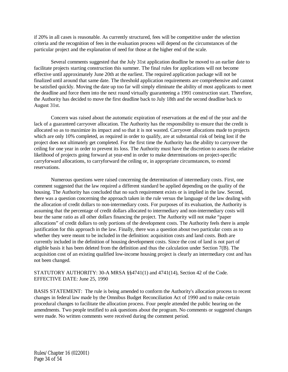if 20% in all cases is reasonable. As currently structured, fees will be competitive under the selection criteria and the recognition of fees in the evaluation process will depend on the circumstances of the particular project and the explanation of need for those at the higher end of the scale.

Several comments suggested that the July 31st application deadline be moved to an earlier date to facilitate projects starting construction this summer. The final rules for applications will not become effective until approximately June 20th at the earliest. The required application package will not be finalized until around that same date. The threshold application requirements are comprehensive and cannot be satisfied quickly. Moving the date up too far will simply eliminate the ability of most applicants to meet the deadline and force them into the next round virtually guaranteeing a 1991 construction start. Therefore, the Authority has decided to move the first deadline back to July 18th and the second deadline back to August 31st.

Concern was raised about the automatic expiration of reservations at the end of the year and the lack of a guaranteed carryover allocation. The Authority has the responsibility to ensure that the credit is allocated so as to maximize its impact and so that it is not wasted. Carryover allocations made to projects which are only 10% completed, as required in order to qualify, are at substantial risk of being lost if the project does not ultimately get completed. For the first time the Authority has the ability to carryover the ceiling for one year in order to prevent its loss. The Authority must have the discretion to assess the relative likelihood of projects going forward at year-end in order to make determinations on project-specific carryforward allocations, to carryforward the ceiling or, in appropriate circumstances, to extend reservations.

Numerous questions were raised concerning the determination of intermediary costs. First, one comment suggested that the law required a different standard be applied depending on the quality of the housing. The Authority has concluded that no such requirement exists or is implied in the law. Second, there was a question concerning the approach taken in the rule versus the language of the law dealing with the allocation of credit dollars to non-intermediary costs. For purposes of its evaluation, the Authority is assuming that the percentage of credit dollars allocated to intermediary and non-intermediary costs will bear the same ratio as all other dollars financing the project. The Authority will not make "paper allocations" of credit dollars to only portions of the development costs. The Authority feels there is ample justification for this approach in the law. Finally, there was a question about two particular costs as to whether they were meant to be included in the definition: acquisition costs and land costs. Both are currently included in the definition of housing development costs. Since the cost of land is not part of eligible basis it has been deleted from the definition and thus the calculation under Section 7(B). The acquisition cost of an existing qualified low-income housing project is clearly an intermediary cost and has not been changed.

#### STATUTORY AUTHORITY: 30-A MRSA §§4741(1) and 4741(14), Section 42 of the Code. EFFECTIVE DATE: June 25, 1990

BASIS STATEMENT: The rule is being amended to conform the Authority's allocation process to recent changes in federal law made by the Omnibus Budget Reconciliation Act of 1990 and to make certain procedural changes to facilitate the allocation process. Four people attended the public hearing on the amendments. Two people testified to ask questions about the program. No comments or suggested changes were made. No written comments were received during the comment period.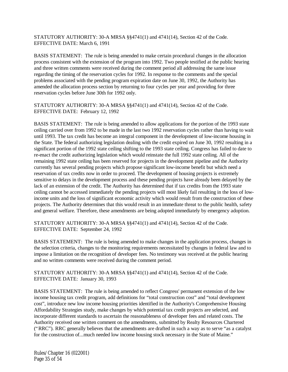# STATUTORY AUTHORITY: 30-A MRSA §§4741(1) and 4741(14), Section 42 of the Code. EFFECTIVE DATE: March 6, 1991

BASIS STATEMENT: The rule is being amended to make certain procedural changes in the allocation process consistent with the extension of the program into 1992. Two people testified at the public hearing and three written comments were received during the comment period all addressing the same issue regarding the timing of the reservation cycles for 1992. In response to the comments and the special problems associated with the pending program expiration date on June 30, 1992, the Authority has amended the allocation process section by returning to four cycles per year and providing for three reservation cycles before June 30th for 1992 only.

STATUTORY AUTHORITY: 30-A MRSA §§4741(1) and 4741(14), Section 42 of the Code. EFFECTIVE DATE: February 12, 1992

BASIS STATEMENT: The rule is being amended to allow applications for the portion of the 1993 state ceiling carried over from 1992 to be made in the last two 1992 reservation cycles rather than having to wait until 1993. The tax credit has become an integral component in the development of low-income housing in the State. The federal authorizing legislation dealing with the credit expired on June 30, 1992 resulting in a significant portion of the 1992 state ceiling shifting to the 1993 state ceiling. Congress has failed to date to re-enact the credit authorizing legislation which would reinstate the full 1992 state ceiling. All of the remaining 1992 state ceiling has been reserved for projects in the development pipeline and the Authority currently has several pending projects which propose significant low-income benefit but which need a reservation of tax credits now in order to proceed. The development of housing projects is extremely sensitive to delays in the development process and these pending projects have already been delayed by the lack of an extension of the credit. The Authority has determined that if tax credits from the 1993 state ceiling cannot be accessed immediately the pending projects will most likely fail resulting in the loss of lowincome units and the loss of significant economic activity which would result from the construction of these projects. The Authority determines that this would result in an immediate threat to the public health, safety and general welfare. Therefore, these amendments are being adopted immediately by emergency adoption.

STATUTORY AUTHORITY: 30-A MRSA §§4741(1) and 4741(14), Section 42 of the Code. EFFECTIVE DATE: September 24, 1992

BASIS STATEMENT: The rule is being amended to make changes in the application process, changes in the selection criteria, changes to the monitoring requirements necessitated by changes in federal law and to impose a limitation on the recognition of developer fees. No testimony was received at the public hearing and no written comments were received during the comment period.

STATUTORY AUTHORITY: 30-A MRSA §§4741(1) and 4741(14), Section 42 of the Code. EFFECTIVE DATE: January 30, 1993

BASIS STATEMENT: The rule is being amended to reflect Congress' permanent extension of the low income housing tax credit program, add definitions for "total construction cost" and "total development cost", introduce new low income housing priorities identified in the Authority's Comprehensive Housing Affordability Strategies study, make changes by which potential tax credit projects are selected, and incorporate different standards to ascertain the reasonableness of developer fees and related costs. The Authority received one written comment on the amendments, submitted by Realty Resources Chartered ("RRC"). RRC generally believes that the amendments are drafted in such a way as to serve "as a catalyst for the construction of...much needed low income housing stock necessary in the State of Maine."

Rules/Chapter 16 (022001) Page 35 of 54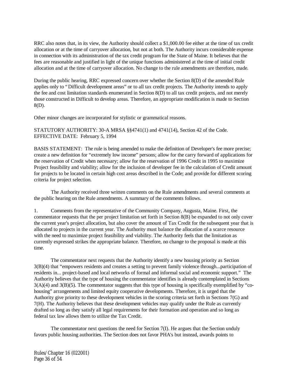RRC also notes that, in its view, the Authority should collect a \$1,000.00 fee either at the time of tax credit allocation or at the time of carryover allocation, but not at both. The Authority incurs considerable expense in connection with its administration of the tax credit program for the State of Maine. It believes that the fees are reasonable and justified in light of the unique functions administered at the time of initial credit allocation and at the time of carryover allocation. No change to the rule amendments are therefore, made.

During the public hearing, RRC expressed concern over whether the Section 8(D) of the amended Rule applies only to "Difficult development areas" or to all tax credit projects. The Authority intends to apply the fee and cost limitation standards enumerated in Section 8(D) to all tax credit projects, and not merely those constructed in Difficult to develop areas. Therefore, an appropriate modification is made to Section 8(D).

Other minor changes are incorporated for stylistic or grammatical reasons.

STATUTORY AUTHORITY: 30-A MRSA §§4741(1) and 4741(14), Section 42 of the Code. EFFECTIVE DATE: February 5, 1994

BASIS STATEMENT: The rule is being amended to make the definition of Developer's fee more precise; create a new definition for "extremely low income" persons; allow for the carry forward of applications for the reservation of Credit when necessary; allow for the reservation of 1996 Credit in 1995 to maximize Project feasibility and viability; allow for the inclusion of developer fee in the calculation of Credit amount for projects to be located in certain high cost areas described in the Code; and provide for different scoring criteria for project selection.

The Authority received three written comments on the Rule amendments and several comments at the public hearing on the Rule amendments. A summary of the comments follows.

1. Comments from the representative of the Community Company, Augusta, Maine. First, the commentator requests that the per project limitation set forth in Section 8(B) be expanded to not only cover the current year's project allocation, but also cover the amount of Tax Credit for the subsequent year that is allocated to projects in the current year. The Authority must balance the allocation of a scarce resource with the need to maximize project feasibility and viability. The Authority feels that the limitation as currently expressed strikes the appropriate balance. Therefore, no change to the proposal is made at this time.

The commentator next requests that the Authority identify a new housing priority as Section 3(B)(4) that "empowers residents and creates a setting to prevent family violence through...participation of residents in... project-based and local networks of formal and informal social and economic support." The Authority believes that the type of housing the commentator identifies is already contemplated in Sections  $3(A)(4)$  and  $3(B)(5)$ . The commentator suggests that this type of housing is specifically exemplified by "cohousing" arrangements and limited equity cooperative developments. Therefore, it is urged that the Authority give priority to these development vehicles in the scoring criteria set forth in Sections 7(G) and 7(H). The Authority believes that these development vehicles may qualify under the Rule as currently drafted so long as they satisfy all legal requirements for their formation and operation and so long as federal tax law allows them to utilize the Tax Credit.

The commentator next questions the need for Section 7(I). He argues that the Section unduly favors public housing authorities. The Section does not favor PHA's but instead, awards points to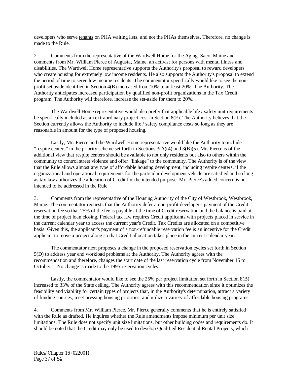developers who serve tenants on PHA waiting lists, and not the PHAs themselves. Therefore, no change is made to the Rule.

2. Comments from the representative of the Wardwell Home for the Aging, Saco, Maine and comments from Mr. William Pierce of Augusta, Maine, an activist for persons with mental illness and disabilities. The Wardwell Home representative supports the Authority's proposal to reward developers who create housing for extremely low income residents. He also supports the Authority's proposal to extend the period of time to serve low income residents. The commentator specifically would like to see the nonprofit set aside identified in Section 4(B) increased from 10% to at least 20%. The Authority. The Authority anticipates increased participation by qualified non-profit organizations in the Tax Credit program. The Authority will therefore, increase the set-aside for them to 20%.

The Wardwell Home representative would also prefer that applicable life / safety unit requirements be specifically included as an extraordinary project cost in Section 8(F). The Authority believes that the Section currently allows the Authority to include life / safety compliance costs so long as they are reasonable in amount for the type of proposed housing.

Lastly, Mr. Pierce and the Wardwell Home representative would like the Authority to include "respite centers" in the priority scheme set forth in Sections  $3(A)(4)$  and  $3(B)(5)$ . Mr. Pierce is of the additional view that respite centers should be available to not only residents but also to others within the community to control street violence and offer "linkage" to the community. The Authority is of the view that the Rule allows almost any type of affordable housing development, including respite centers, if the organizational and operational requirements for the particular development vehicle are satisfied and so long as tax law authorizes the allocation of Credit for the intended purpose. Mr. Pierce's added concern is not intended to be addressed in the Rule.

3. Comments from the representative of the Housing Authority of the City of Westbrook, Westbrook, Maine. The commentator requests that the Authority defer a non-profit developer's payment of the Credit reservation fee so that 25% of the fee is payable at the time of Credit reservation and the balance is paid at the time of project loan closing. Federal tax law requires Credit applicants with projects placed in service in the current calendar year to access the current year's Credit. Tax Credits are allocated on a competitive basis. Given this, the applicant's payment of a non-refundable reservation fee is an incentive for the Credit applicant to move a project along so that Credit allocation takes place in the current calendar year.

The commentator next proposes a change in the proposed reservation cycles set forth in Section 5(D) to address year end workload problems at the Authority. The Authority agrees with the recommendation and therefore, changes the start date of the last reservation cycle from November 15 to October 1. No change is made to the 1995 reservation cycles.

Lastly, the commentator would like to see the 25% per project limitation set forth in Section 8(B) increased to 33% of the State ceiling. The Authority agrees with this recommendation since it optimizes the feasibility and viability for certain types of projects that, in the Authority's determination, attract a variety of funding sources, meet pressing housing priorities, and utilize a variety of affordable housing programs.

4. Comments from Mr. William Pierce. Mr. Pierce generally comments that he is entirely satisfied with the Rule as drafted. He inquires whether the Rule amendments impose minimum per unit size limitations. The Rule does not specify unit size limitations, but other building codes and requirements do. It should be noted that the Credit may only be used to develop Qualified Residential Rental Projects, which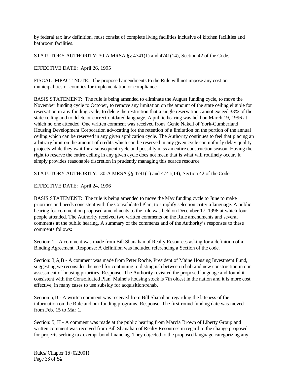by federal tax law definition, must consist of complete living facilities inclusive of kitchen facilities and bathroom facilities.

STATUTORY AUTHORITY: 30-A MRSA §§ 4741(1) and 4741(14), Section 42 of the Code.

EFFECTIVE DATE: April 26, 1995

FISCAL IMPACT NOTE: The proposed amendments to the Rule will not impose any cost on municipalities or counties for implementation or compliance.

BASIS STATEMENT: The rule is being amended to eliminate the August funding cycle, to move the November funding cycle to October, to remove any limitation on the amount of the state ceiling eligible for reservation in any funding cycle, to delete the restriction that a single reservation cannot exceed 33% of the state ceiling and to delete or correct outdated language. A public hearing was held on March 19, 1996 at which no one attended. One written comment was received from Genie Nakell of York-Cumberland Housing Development Corporation advocating for the retention of a limitation on the portion of the annual ceiling which can be reserved in any given application cycle. The Authority continues to feel that placing an arbitrary limit on the amount of credits which can be reserved in any given cycle can unfairly delay quality projects while they wait for a subsequent cycle and possibly miss an entire construction season. Having the right to reserve the entire ceiling in any given cycle does not mean that is what will routinely occur. It simply provides reasonable discretion in prudently managing this scarce resource.

STATUTORY AUTHORITY: 30-A MRSA §§ 4741(1) and 4741(14), Section 42 of the Code.

EFFECTIVE DATE: April 24, 1996

BASIS STATEMENT: The rule is being amended to move the May funding cycle to June to make priorities and needs consistent with the Consolidated Plan, to simplify selection criteria language. A public hearing for comment on proposed amendments to the rule was held on December 17, 1996 at which four people attended. The Authority received two written comments on the Rule amendments and several comments at the public hearing. A summary of the comments and of the Authority's responses to these comments follows:

Section: 1 - A comment was made from Bill Shanahan of Realty Resources asking for a definition of a Binding Agreement. Response: A definition was included referencing a Section of the code.

Section: 3,A,B - A comment was made from Peter Roche, President of Maine Housing Investment Fund, suggesting we reconsider the need for continuing to distinguish between rehab and new construction in our assessment of housing priorities. Response: The Authority revisited the proposed language and found it consistent with the Consolidated Plan. Maine's housing stock is 7th oldest in the nation and it is more cost effective, in many cases to use subsidy for acquisition/rehab.

Section 5,D - A written comment was received from Bill Shanahan regarding the lateness of the information on the Rule and our funding programs. Response: The first round funding date was moved from Feb. 15 to Mar 1.

Section: 5, H - A comment was made at the public hearing from Marcia Brown of Liberty Group and written comment was received from Bill Shanahan of Realty Resources in regard to the change proposed for projects seeking tax exempt bond financing. They objected to the proposed language categorizing any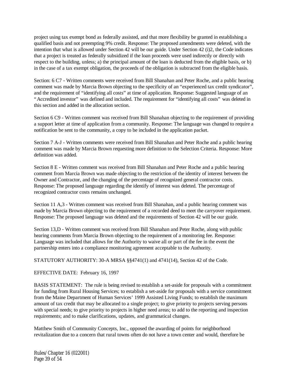project using tax exempt bond as federally assisted, and that more flexibility be granted in establishing a qualified basis and not preempting 9% credit. Response: The proposed amendments were deleted, with the intention that what is allowed under Section 42 will be our guide. Under Section 42 (i)2, the Code indicates that a project is treated as federally subsidized if the loan proceeds were used indirectly or directly with respect to the building, unless; a) the principal amount of the loan is deducted from the eligible basis, or b) in the case of a tax exempt obligation, the proceeds of the obligation is subtracted from the eligible basis.

Section: 6 C7 - Written comments were received from Bill Shanahan and Peter Roche, and a public hearing comment was made by Marcia Brown objecting to the specificity of an "experienced tax credit syndicator", and the requirement of "identifying all costs" at time of application. Response: Suggested language of an "Accredited investor" was defined and included. The requirement for "identifying all costs" was deleted in this section and added in the allocation section.

Section 6 C9 - Written comment was received from Bill Shanahan objecting to the requirement of providing a support letter at time of application from a community. Response: The language was changed to require a notification be sent to the community, a copy to be included in the application packet.

Section 7 A-J - Written comments were received from Bill Shanahan and Peter Roche and a public hearing comment was made by Marcia Brown requesting more definition to the Selection Criteria. Response: More definition was added.

Section 8 E - Written comment was received from Bill Shanahan and Peter Roche and a public hearing comment from Marcia Brown was made objecting to the restriction of the identity of interest between the Owner and Contractor, and the changing of the percentage of recognized general contractor costs. Response: The proposed language regarding the identify of interest was deleted. The percentage of recognized contractor costs remains unchanged.

Section 11 A,3 - Written comment was received from Bill Shanahan, and a public hearing comment was made by Marcia Brown objecting to the requirement of a recorded deed to meet the carryover requirement. Response: The proposed language was deleted and the requirements of Section 42 will be our guide.

Section 13,D - Written comment was received from Bill Shanahan and Peter Roche, along with public hearing comments from Marcia Brown objecting to the requirement of a monitoring fee. Response: Language was included that allows for the Authority to waive all or part of the fee in the event the partnership enters into a compliance monitoring agreement acceptable to the Authority.

STATUTORY AUTHORITY: 30-A MRSA §§4741(1) and 4741(14), Section 42 of the Code.

# EFFECTIVE DATE: February 16, 1997

BASIS STATEMENT: The rule is being revised to establish a set-aside for proposals with a commitment for funding from Rural Housing Services; to establish a set-aside for proposals with a service commitment from the Maine Department of Human Services' 1999 Assisted Living Funds; to establish the maximum amount of tax credit that may be allocated to a single project; to give priority to projects serving persons with special needs; to give priority to projects in higher need areas; to add to the reporting and inspection requirements; and to make clarifications, updates, and grammatical changes.

Matthew Smith of Community Concepts, Inc., opposed the awarding of points for neighborhood revitalization due to a concern that rural towns often do not have a town center and would, therefore be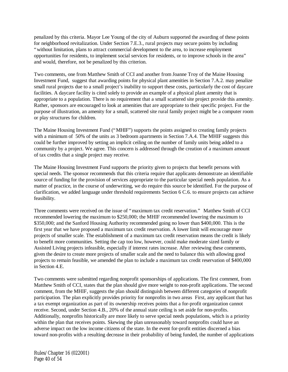penalized by this criteria. Mayor Lee Young of the city of Auburn supported the awarding of these points for neighborhood revitalization. Under Section 7.E.3., rural projects may secure points by including "without limitation, plans to attract commercial development to the area, to increase employment opportunities for residents, to implement social services for residents, or to improve schools in the area" and would, therefore, not be penalized by this criterion.

Two comments, one from Matthew Smith of CCI and another from Joanne Troy of the Maine Housing Investment Fund, suggest that awarding points for physical plant amenities in Section 7.A.2. may penalize small rural projects due to a small project's inability to support these costs, particularly the cost of daycare facilities. A daycare facility is cited solely to provide an example of a physical plant amenity that is appropriate to a population. There is no requirement that a small scattered site project provide this amenity. Rather, sponsors are encouraged to look at amenities that are appropriate to their specific project. For the purpose of illustration, an amenity for a small, scattered site rural family project might be a computer room or play structures for children.

The Maine Housing Investment Fund ("MHIF") supports the points assigned to creating family projects with a minimum of 50% of the units as 3 bedroom apartments in Section 7.A.4. The MHIF suggests this could be further improved by setting an implicit ceiling on the number of family units being added to a community by a project. We agree. This concern is addressed through the creation of a maximum amount of tax credits that a single project may receive.

The Maine Housing Investment Fund supports the priority given to projects that benefit persons with special needs. The sponsor recommends that this criteria require that applicants demonstrate an identifiable source of funding for the provision of services appropriate to the particular special needs population. As a matter of practice, in the course of underwriting, we do require this source be identified. For the purpose of clarification, we added language under threshold requirements Section 6 C.6. to ensure projects can achieve feasibility.

Three comments were received on the issue of "maximum tax credit reservation." Matthew Smith of CCI recommended lowering the maximum to \$250,000; the MHIF recommended lowering the maximum to \$350,000; and the Sanford Housing Authority recommended going no lower than \$400,000. This is the first year that we have proposed a maximum tax credit reservation. A lower limit will encourage more projects of smaller scale. The establishment of a maximum tax credit reservation means the credit is likely to benefit more communities. Setting the cap too low, however, could make moderate sized family or Assisted Living projects infeasible, especially if interest rates increase. After reviewing these comments, given the desire to create more projects of smaller scale and the need to balance this with allowing good projects to remain feasible, we amended the plan to include a maximum tax credit reservation of \$400,000 in Section 4.E.

Two comments were submitted regarding nonprofit sponsorships of applications. The first comment, from Matthew Smith of CCI, states that the plan should give more weight to non-profit applications. The second comment, from the MHIF, suggests the plan should distinguish between different categories of nonprofit participation. The plan explicitly provides priority for nonprofits in two areas First, any applicant that has a tax exempt organization as part of its ownership receives points that a for-profit organization cannot receive. Second, under Section 4.B., 20% of the annual state ceiling is set aside for non-profits. Additionally, nonprofits historically are more likely to serve special needs populations, which is a priority within the plan that receives points. Skewing the plan unreasonably toward nonprofits could have an adverse impact on the low income citizens of the state. In the event for-profit entities discerned a bias toward non-profits with a resulting decrease in their probability of being funded, the number of applications

Rules/Chapter 16 (022001) Page 40 of 54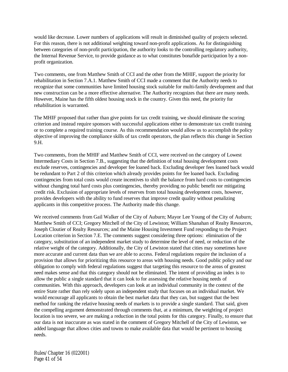would like decrease. Lower numbers of applications will result in diminished quality of projects selected. For this reason, there is not additional weighting toward non-profit applications. As for distinguishing between categories of non-profit participation, the authority looks to the controlling regulatory authority, the Internal Revenue Service, to provide guidance as to what constitutes bonafide participation by a nonprofit organization.

Two comments, one from Matthew Smith of CCI and the other from the MHIF, support the priority for rehabilitation in Section 7.A.1. Matthew Smith of CCI made a comment that the Authority needs to recognize that some communities have limited housing stock suitable for multi-family development and that new construction can be a more effective alternative. The Authority recognizes that there are many needs. However, Maine has the fifth oldest housing stock in the country. Given this need, the priority for rehabilitation is warranted.

The MHIF proposed that rather than give points for tax credit training, we should eliminate the scoring criterion and instead require sponsors with successful applications either to demonstrate tax credit training or to complete a required training course. As this recommendation would allow us to accomplish the policy objective of improving the compliance skills of tax credit operators, the plan reflects this change in Section 9.H.

Two comments, from the MHIF and Matthew Smith of CCI, were received on the category of Lowest Intermediary Costs in Section 7.B., suggesting that the definition of total housing development costs exclude reserves, contingencies and developer fee loaned back. Excluding developer fees loaned back would be redundant to Part 2 of this criterion which already provides points for fee loaned back. Excluding contingencies from total costs would create incentives to shift the balance from hard costs to contingencies without changing total hard costs plus contingencies, thereby providing no public benefit nor mitigating credit risk. Exclusion of appropriate levels of reserves from total housing development costs, however, provides developers with the ability to fund reserves that improve credit quality without penalizing applicants in this competitive process. The Authority made this change.

We received comments from Gail Walker of the City of Auburn; Mayor Lee Young of the City of Auburn; Matthew Smith of CCI; Gregory Mitchell of the City of Lewiston; William Shanahan of Realty Resources, Joseph Cloutier of Realty Resources; and the Maine Housing Investment Fund responding to the Project Location criterion in Section 7.E. The comments suggest considering three options: elimination of the category, substitution of an independent market study to determine the level of need, or reduction of the relative weight of the category. Additionally, the City of Lewiston stated that cities may sometimes have more accurate and current data than we are able to access. Federal regulations require the inclusion of a provision that allows for prioritizing this resource to areas with housing needs. Good public policy and our obligation to comply with federal regulations suggest that targeting this resource to the areas of greatest need makes sense and that this category should not be eliminated. The intent of providing an index is to allow the public a single standard that it can look to for assessing the relative housing needs of communities. With this approach, developers can look at an individual community in the context of the entire State rather than rely solely upon an independent study that focuses on an individual market. We would encourage all applicants to obtain the best market data that they can, but suggest that the best method for ranking the relative housing needs of markets is to provide a single standard. That said, given the compelling argument demonstrated through comments that, at a minimum, the weighting of project location is too severe, we are making a reduction in the total points for this category. Finally, to ensure that our data is not inaccurate as was stated in the comment of Gregory Mitchell of the City of Lewiston, we added language that allows cities and towns to make available data that would be pertinent to housing needs.

Rules/Chapter 16 (022001) Page 41 of 54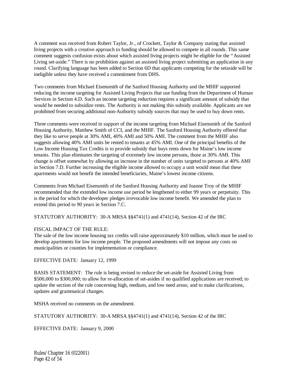A comment was received from Robert Taylor, Jr., of Crockett, Taylor & Company stating that assisted living projects with a creative approach to funding should be allowed to compete in all rounds. This same comment suggests confusion exists about which assisted living projects might be eligible for the "Assisted Living set-aside." There is no prohibition against an assisted living project submitting an application in any round. Clarifying language has been added to Section 6D that applicants competing for the setaside will be ineligible unless they have received a commitment from DHS.

Two comments from Michael Eisensmith of the Sanford Housing Authority and the MHIF supported reducing the income targeting for Assisted Living Projects that use funding from the Department of Human Services in Section 4.D. Such an income targeting reduction requires a significant amount of subsidy that would be needed to subsidize rents. The Authority is not making this subsidy available. Applicants are not prohibited from securing additional non-Authority subsidy sources that may be used to buy down rents.

Three comments were received in support of the income targeting from Michael Eisensmith of the Sanford Housing Authority, Matthew Smith of CCI, and the MHIF. The Sanford Housing Authority offered that they like to serve people at 30% AMI, 40% AMI and 50% AMI. The comment from the MHIF also suggests allowing 40% AMI units be rented to tenants at 45% AMI. One of the principal benefits of the Low Income Housing Tax Credits is to provide subsidy that buys rents down for Maine's low income tenants. This plan eliminates the targeting of extremely low income persons, those at 30% AMI. This change is offset somewhat by allowing an increase in the number of units targeted to persons at 40% AMI in Section 7.D. Further increasing the eligible income allowed to occupy a unit would mean that these apartments would not benefit the intended beneficiaries, Maine's lowest income citizens.

Comments from Michael Eisensmith of the Sanford Housing Authority and Joanne Troy of the MHIF recommended that the extended low income use period be lengthened to either 99 years or perpetuity. This is the period for which the developer pledges irrevocable low income benefit. We amended the plan to extend this period to 90 years in Section 7.C.

STATUTORY AUTHORITY: 30-A MRSA §§4741(1) and 4741(14), Section 42 of the IRC

#### FISCAL IMPACT OF THE RULE:

The sale of the low income housing tax credits will raise approximately \$10 million, which must be used to develop apartments for low income people. The proposed amendments will not impose any costs on municipalities or counties for implementation or compliance.

EFFECTIVE DATE: January 12, 1999

BASIS STATEMENT: The rule is being revised to reduce the set-aside for Assisted Living from \$500,000 to \$300,000; to allow for re-allocation of set-asides if no qualified applications are received; to update the section of the rule concerning high, medium, and low need areas; and to make clarifications, updates and grammatical changes.

MSHA received no comments on the amendment.

STATUTORY AUTHORITY: 30-A MRSA §§4741(1) and 4741(14), Section 42 of the IRC

EFFECTIVE DATE: January 9, 2000

Rules/Chapter 16 (022001) Page 42 of 54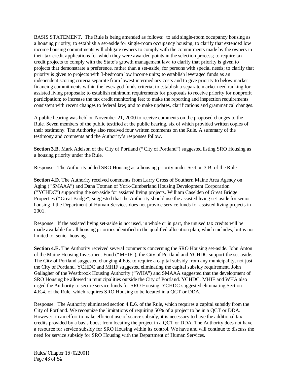BASIS STATEMENT. The Rule is being amended as follows: to add single-room occupancy housing as a housing priority; to establish a set-aside for single-room occupancy housing; to clarify that extended low income housing commitments will obligate owners to comply with the commitments made by the owners in their tax credit applications for which they were awarded points in the selection process; to require tax credit projects to comply with the State's growth management law; to clarify that priority is given to projects that demonstrate a preference, rather than a set-aside, for persons with special needs; to clarify that priority is given to projects with 3-bedroom low income units; to establish leveraged funds as an independent scoring criteria separate from lowest intermediary costs and to give priority to below market financing commitments within the leveraged funds criteria; to establish a separate market need ranking for assisted living proposals; to establish minimum requirements for proposals to receive priority for nonprofit participation; to increase the tax credit monitoring fee; to make the reporting and inspection requirements consistent with recent changes to federal law; and to make updates, clarifications and grammatical changes.

A public hearing was held on November 21, 2000 to receive comments on the proposed changes to the Rule. Seven members of the public testified at the public hearing, six of which provided written copies of their testimony. The Authority also received four written comments on the Rule. A summary of the testimony and comments and the Authority's responses follow.

**Section 3.B.** Mark Adelson of the City of Portland ("City of Portland") suggested listing SRO Housing as a housing priority under the Rule.

Response: The Authority added SRO Housing as a housing priority under Section 3.B. of the Rule.

**Section 4.D.** The Authority received comments from Larry Gross of Southern Maine Area Agency on Aging ("SMAAA") and Dana Totman of York-Cumberland Housing Development Corporation ("YCHDC") supporting the set-aside for assisted living projects. William Caselden of Great Bridge Properties ("Great Bridge") suggested that the Authority should use the assisted living set-aside for senior housing if the Department of Human Services does not provide service funds for assisted living projects in 2001.

Response: If the assisted living set-aside is not used, in whole or in part, the unused tax credits will be made available for all housing priorities identified in the qualified allocation plan, which includes, but is not limited to, senior housing.

**Section 4.E.** The Authority received several comments concerning the SRO Housing set-aside. John Anton of the Maine Housing Investment Fund ("MHIF"), the City of Portland and YCHDC support the set-aside. The City of Portland suggested changing 4.E.6. to require a capital subsidy from any municipality, not just the City of Portland. YCHDC and MHIF suggested eliminating the capital subsidy requirement. John Gallagher of the Westbrook Housing Authority ("WHA") and SMAAA suggested that the development of SRO Housing be allowed in municipalities outside the City of Portland. YCHDC, MHIF and WHA also urged the Authority to secure service funds for SRO Housing. YCHDC suggested eliminating Section 4.E.4. of the Rule, which requires SRO Housing to be located in a QCT or DDA.

Response: The Authority eliminated section 4.E.6. of the Rule, which requires a capital subsidy from the City of Portland. We recognize the limitations of requiring 50% of a project to be in a QCT or DDA. However, in an effort to make efficient use of scarce subsidy, it is necessary to have the additional tax credits provided by a basis boost from locating the project in a QCT or DDA. The Authority does not have a resource for service subsidy for SRO Housing within its control. We have and will continue to discuss the need for service subsidy for SRO Housing with the Department of Human Services.

Rules/Chapter 16 (022001) Page 43 of 54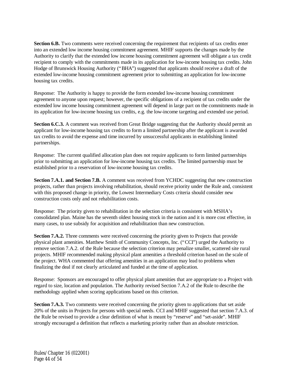**Section 6.B.** Two comments were received concerning the requirement that recipients of tax credits enter into an extended low income housing commitment agreement. MHIF supports the changes made by the Authority to clarify that the extended low income housing commitment agreement will obligate a tax credit recipient to comply with the commitments made in its application for low-income housing tax credits. John Hodge of Brunswick Housing Authority ("BHA") suggested that applicants should receive a draft of the extended low-income housing commitment agreement prior to submitting an application for low-income housing tax credits.

Response: The Authority is happy to provide the form extended low-income housing commitment agreement to anyone upon request; however, the specific obligations of a recipient of tax credits under the extended low income housing commitment agreement will depend in large part on the commitments made in its application for low-income housing tax credits, e.g. the low-income targeting and extended use period.

**Section 6.C.3.** A comment was received from Great Bridge suggesting that the Authority should permit an applicant for low-income housing tax credits to form a limited partnership after the applicant is awarded tax credits to avoid the expense and time incurred by unsuccessful applicants in establishing limited partnerships.

Response: The current qualified allocation plan does not require applicants to form limited partnerships prior to submitting an application for low-income housing tax credits. The limited partnership must be established prior to a reservation of low-income housing tax credits.

**Section 7.A.1. and Section 7.B.** A comment was received from YCHDC suggesting that new construction projects, rather than projects involving rehabilitation, should receive priority under the Rule and, consistent with this proposed change in priority, the Lowest Intermediary Costs criteria should consider new construction costs only and not rehabilitation costs.

Response: The priority given to rehabilitation in the selection criteria is consistent with MSHA's consolidated plan. Maine has the seventh oldest housing stock in the nation and it is more cost effective, in many cases, to use subsidy for acquisition and rehabilitation than new construction.

**Section 7.A.2.** Three comments were received concerning the priority given to Projects that provide physical plant amenities. Matthew Smith of Community Concepts, Inc. ("CCI") urged the Authority to remove section 7.A.2. of the Rule because the selection criterion may penalize smaller, scattered site rural projects. MHIF recommended making physical plant amenities a threshold criterion based on the scale of the project. WHA commented that offering amenities in an application may lead to problems when finalizing the deal if not clearly articulated and funded at the time of application.

Response: Sponsors are encouraged to offer physical plant amenities that are appropriate to a Project with regard to size, location and population. The Authority revised Section 7.A.2 of the Rule to describe the methodology applied when scoring applications based on this criterion.

**Section 7.A.3.** Two comments were received concerning the priority given to applications that set aside 20% of the units in Projects for persons with special needs. CCI and MHIF suggested that section 7.A.3. of the Rule be revised to provide a clear definition of what is meant by "reserve" and "set-aside". MHIF strongly encouraged a definition that reflects a marketing priority rather than an absolute restriction.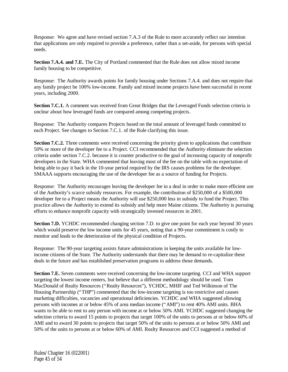Response: We agree and have revised section 7.A.3 of the Rule to more accurately reflect our intention that applications are only required to provide a preference, rather than a set-aside, for persons with special needs.

Section 7.A.4. and 7.E. The City of Portland commented that the Rule does not allow mixed income family housing to be competitive.

Response: The Authority awards points for family housing under Sections 7.A.4. and does not require that any family project be 100% low-income. Family and mixed income projects have been successful in recent years, including 2000.

**Section 7.C.1.** A comment was received from Great Bridges that the Leveraged Funds selection criteria is unclear about how leveraged funds are compared among competing projects.

Response: The Authority compares Projects based on the total amount of leveraged funds committed to each Project. See changes to Section 7.C.1. of the Rule clarifying this issue.

**Section 7.C.2.** Three comments were received concerning the priority given to applications that contribute 50% or more of the developer fee to a Project. CCI recommended that the Authority eliminate the selection criteria under section 7.C.2. because it is counter productive to the goal of increasing capacity of nonprofit developers in the State. WHA commented that leaving most of the fee on the table with no expectation of being able to pay it back in the 10-year period required by the IRS causes problems for the developer. SMAAA supports encouraging the use of the developer fee as a source of funding for Projects.

Response: The Authority encourages leaving the developer fee in a deal in order to make more efficient use of the Authority's scarce subsidy resources. For example, the contribution of \$250,000 of a \$500,000 developer fee to a Project means the Authority will use \$250,000 less in subsidy to fund the Project. This practice allows the Authority to extend its subsidy and help more Maine citizens. The Authority is pursuing efforts to enhance nonprofit capacity with strategically invested resources in 2001.

**Section 7.D.** YCHDC recommended changing section 7.D. to give one point for each year beyond 30 years which would preserve the low income units for 45 years, noting that a 90-year commitment is costly to monitor and leads to the deterioration of the physical condition of Projects.

Response: The 90-year targeting assists future administrations in keeping the units available for lowincome citizens of the State. The Authority understands that there may be demand to re-capitalize these deals in the future and has established preservation programs to address those demands.

**Section 7.E.** Seven comments were received concerning the low-income targeting. CCI and WHA support targeting the lowest income renters, but believe that a different methodology should be used. Tom MacDonald of Realty Resources ("Realty Resources"), YCHDC, MHIF and Ted Wilkinson of The Housing Partnership ("THP") commented that the low-income targeting is too restrictive and causes marketing difficulties, vacancies and operational deficiencies. YCHDC and WHA suggested allowing persons with incomes at or below 45% of area median income ("AMI") to rent 40% AMI units. BHA wants to be able to rent to any person with income at or below 50% AMI. YCHDC suggested changing the selection criteria to award 15 points to projects that target 100% of the units to persons at or below 60% of AMI and to award 30 points to projects that target 50% of the units to persons at or below 50% AMI and 50% of the units to persons at or below 60% of AMI. Realty Resources and CCI suggested a method of

Rules/Chapter 16 (022001) Page 45 of 54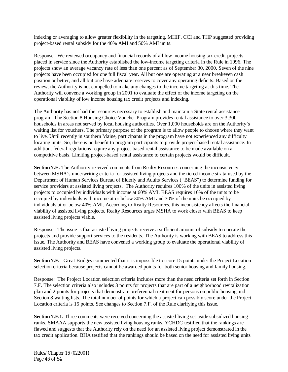indexing or averaging to allow greater flexibility in the targeting. MHIF, CCI and THP suggested providing project-based rental subsidy for the 40% AMI and 50% AMI units.

Response: We reviewed occupancy and financial records of all low income housing tax credit projects placed in service since the Authority established the low-income targeting criteria in the Rule in 1996. The projects show an average vacancy rate of less than one percent as of September 30, 2000. Seven of the nine projects have been occupied for one full fiscal year. All but one are operating at a near breakeven cash position or better, and all but one have adequate reserves to cover any operating deficits. Based on the review, the Authority is not compelled to make any changes to the income targeting at this time. The Authority will convene a working group in 2001 to evaluate the effect of the income targeting on the operational viability of low income housing tax credit projects and indexing.

The Authority has not had the resources necessary to establish and maintain a State rental assistance program. The Section 8 Housing Choice Voucher Program provides rental assistance to over 3,300 households in areas not served by local housing authorities. Over 1,000 households are on the Authority's waiting list for vouchers. The primary purpose of the program is to allow people to choose where they want to live. Until recently in southern Maine, participants in the program have not experienced any difficulty locating units. So, there is no benefit to program participants to provide project-based rental assistance. In addition, federal regulations require any project-based rental assistance to be made available on a competitive basis. Limiting project-based rental assistance to certain projects would be difficult.

**Section 7.E.** The Authority received comments from Realty Resources concerning the inconsistency between MSHA's underwriting criteria for assisted living projects and the tiered income strata used by the Department of Human Services Bureau of Elderly and Adults Services ("BEAS") to determine funding for service providers at assisted living projects. The Authority requires 100% of the units in assisted living projects to occupied by individuals with income at 60% AMI. BEAS requires 10% of the units to be occupied by individuals with income at or below 30% AMI and 30% of the units be occupied by individuals at or below 40% AMI. According to Realty Resources, this inconsistency affects the financial viability of assisted living projects. Realty Resources urges MSHA to work closer with BEAS to keep assisted living projects viable.

Response: The issue is that assisted living projects receive a sufficient amount of subsidy to operate the projects and provide support services to the residents. The Authority is working with BEAS to address this issue. The Authority and BEAS have convened a working group to evaluate the operational viability of assisted living projects.

Section 7.F. Great Bridges commented that it is impossible to score 15 points under the Project Location selection criteria because projects cannot be awarded points for both senior housing and family housing.

Response: The Project Location selection criteria includes more than the need criteria set forth in Section 7.F. The selection criteria also includes 3 points for projects that are part of a neighborhood revitalization plan and 2 points for projects that demonstrate preferential treatment for persons on public housing and Section 8 waiting lists. The total number of points for which a project can possibly score under the Project Location criteria is 15 points. See changes to Section 7.F. of the Rule clarifying this issue.

**Section 7.F.1.** Three comments were received concerning the assisted living set-aside subsidized housing ranks. SMAAA supports the new assisted living housing ranks. YCHDC testified that the rankings are flawed and suggests that the Authority rely on the need for an assisted living project demonstrated in the tax credit application. BHA testified that the rankings should be based on the need for assisted living units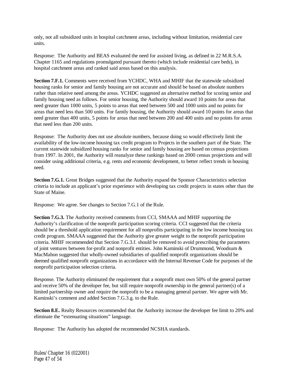only, not all subsidized units in hospital catchment areas, including without limitation, residential care units.

Response: The Authority and BEAS evaluated the need for assisted living, as defined in 22 M.R.S.A. Chapter 1165 and regulations promulgated pursuant thereto (which include residential care beds), in hospital catchment areas and ranked said areas based on this analysis.

**Section 7.F.1.** Comments were received from YCHDC, WHA and MHIF that the statewide subsidized housing ranks for senior and family housing are not accurate and should be based on absolute numbers rather than relative need among the areas. YCHDC suggested an alternative method for scoring senior and family housing need as follows. For senior housing, the Authority should award 10 points for areas that need greater than 1000 units, 5 points to areas that need between 500 and 1000 units and no points for areas that need less than 500 units. For family housing, the Authority should award 10 points for areas that need greater than 400 units, 5 points for areas that need between 200 and 400 units and no points for areas that need less than 200 units.

Response: The Authority does not use absolute numbers, because doing so would effectively limit the availability of the low-income housing tax credit program to Projects in the southern part of the State. The current statewide subsidized housing ranks for senior and family housing are based on census projections from 1997. In 2001, the Authority will reanalyze these rankings based on 2000 census projections and will consider using additional criteria, e.g. rents and economic development, to better reflect trends in housing need.

**Section 7.G.1.** Great Bridges suggested that the Authority expand the Sponsor Characteristics selection criteria to include an applicant's prior experience with developing tax credit projects in states other than the State of Maine.

Response: We agree. See changes to Section 7.G.1 of the Rule.

**Section 7.G.3.** The Authority received comments from CCI, SMAAA and MHIF supporting the Authority's clarification of the nonprofit participation scoring criteria. CCI suggested that the criteria should be a threshold application requirement for all nonprofits participating in the low income housing tax credit program. SMAAA suggested that the Authority give greater weight to the nonprofit participation criteria. MHIF recommended that Section 7.G.3.f. should be removed to avoid prescribing the parameters of joint ventures between for-profit and nonprofit entities. John Kaminski of Drummond, Woodsum & MacMahon suggested that wholly-owned subsidiaries of qualified nonprofit organizations should be deemed qualified nonprofit organizations in accordance with the Internal Revenue Code for purposes of the nonprofit participation selection criteria.

Response. The Authority eliminated the requirement that a nonprofit must own 50% of the general partner and receive 50% of the developer fee, but still require nonprofit ownership in the general partner(s) of a limited partnership owner and require the nonprofit to be a managing general partner. We agree with Mr. Kaminski's comment and added Section 7.G.3.g. to the Rule.

**Section 8.E.** Realty Resources recommended that the Authority increase the developer fee limit to 20% and eliminate the "extenuating situations" language.

Response: The Authority has adopted the recommended NCSHA standards.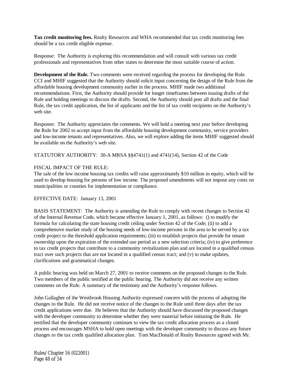**Tax credit monitoring fees.** Realty Resources and WHA recommended that tax credit monitoring fees should be a tax credit eligible expense.

Response: The Authority is exploring this recommendation and will consult with various tax credit professionals and representatives from other states to determine the most suitable course of action.

**Development of the Rule.** Two comments were received regarding the process for developing the Rule. CCI and MHIF suggested that the Authority should solicit input concerning the design of the Rule from the affordable housing development community earlier in the process. MHIF made two additional recommendations. First, the Authority should provide for longer timeframes between issuing drafts of the Rule and holding meetings to discuss the drafts. Second, the Authority should post all drafts and the final Rule, the tax credit application, the list of applicants and the list of tax credit recipients on the Authority's web site.

Response: The Authority appreciates the comments. We will hold a meeting next year before developing the Rule for 2002 to accept input from the affordable housing development community, service providers and low-income tenants and representatives. Also, we will explore adding the items MHIF suggested should be available on the Authority's web site.

STATUTORY AUTHORITY: 30-A MRSA §§4741(1) and 4741(14), Section 42 of the Code

#### FISCAL IMPACT OF THE RULE:

The sale of the low income housing tax credits will raise approximately \$10 million in equity, which will be used to develop housing for persons of low income. The proposed amendments will not impose any costs on municipalities or counties for implementation or compliance.

#### EFFECTIVE DATE: January 13, 2001

BASIS STATEMENT: The Authority is amending the Rule to comply with recent changes to Section 42 of the Internal Revenue Code, which became effective January 1, 2001, as follows: () to modify the formula for calculating the state housing credit ceiling under Section 42 of the Code; (ii) to add a comprehensive market study of the housing needs of low-income persons in the area to be served by a tax credit project to the threshold application requirements; (iii) to establish projects that provide for tenant ownership upon the expiration of the extended use period as a new selection criteria; (iv) to give preference to tax credit projects that contribute to a community revitalization plan and are located in a qualified census tract over such projects that are not located in a qualified census tract; and (v) to make updates, clarifications and grammatical changes.

A public hearing was held on March 27, 2001 to receive comments on the proposed changes to the Rule. Two members of the public testified at the public hearing. The Authority did not receive any written comments on the Rule. A summary of the testimony and the Authority's response follows.

John Gallagher of the Westbrook Housing Authority expressed concern with the process of adopting the changes to the Rule. He did not receive notice of the changes to the Rule until three days after the tax credit applications were due. He believes that the Authority should have discussed the proposed changes with the developer community to determine whether they were material before initiating the Rule. He testified that the developer community continues to view the tax credit allocation process as a closed process and encourages MSHA to hold open meetings with the developer community to discuss any future changes to the tax credit qualified allocation plan. Tom MacDonald of Realty Resources agreed with Mr.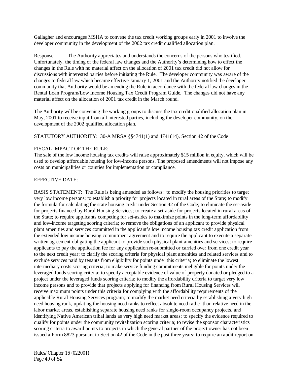Gallagher and encourages MSHA to convene the tax credit working groups early in 2001 to involve the developer community in the development of the 2002 tax credit qualified allocation plan.

Response: The Authority appreciates and understands the concerns of the persons who testified. Unfortunately, the timing of the federal law changes and the Authority's determining how to effect the changes in the Rule with no material affect on the allocation of 2001 tax credit did not allow for discussions with interested parties before initiating the Rule. The developer community was aware of the changes to federal law which became effective January 1, 2001 and the Authority notified the developer community that Authority would be amending the Rule in accordance with the federal law changes in the Rental Loan Program/Low Income Housing Tax Credit Program Guide. The changes did not have any material affect on the allocation of 2001 tax credit in the March round.

The Authority will be convening the working groups to discuss the tax credit qualified allocation plan in May, 2001 to receive input from all interested parties, including the developer community, on the development of the 2002 qualified allocation plan.

STATUTORY AUTHORITY: 30-A MRSA §§4741(1) and 4741(14), Section 42 of the Code

#### FISCAL IMPACT OF THE RULE:

The sale of the low income housing tax credits will raise approximately \$15 million in equity, which will be used to develop affordable housing for low-income persons. The proposed amendments will not impose any costs on municipalities or counties for implementation or compliance.

#### EFFECTIVE DATE:

BASIS STATEMENT: The Rule is being amended as follows: to modify the housing priorities to target very low income persons; to establish a priority for projects located in rural areas of the State; to modify the formula for calculating the state housing credit under Section 42 of the Code; to eliminate the set-aside for projects financed by Rural Housing Services; to create a set-aside for projects located in rural areas of the State; to require applicants competing for set-asides to maximize points in the long-term affordability and low-income targeting scoring criteria; to remove the obligations of an applicant to provide physical plant amenities and services committed in the applicant's low income housing tax credit application from the extended low income housing commitment agreement and to require the applicant to execute a separate written agreement obligating the applicant to provide such physical plant amenities and services; to require applicants to pay the application fee for any application re-submitted or carried over from one credit year to the next credit year; to clarify the scoring criteria for physical plant amenities and related services and to exclude services paid by tenants from eligibility for points under this criteria; to eliminate the lowest intermediary costs scoring criteria; to make service funding commitments ineligible for points under the leveraged funds scoring criteria; to specify acceptable evidence of value of property donated or pledged to a project under the leveraged funds scoring criteria; to modify the affordability criteria to target very low income persons and to provide that projects applying for financing from Rural Housing Services will receive maximum points under this criteria for complying with the affordability requirements of the applicable Rural Housing Services program; to modify the market need criteria by establishing a very high need housing rank, updating the housing need ranks to reflect absolute need rather than relative need in the labor market areas, establishing separate housing need ranks for single-room occupancy projects, and identifying Native American tribal lands as very high need market areas; to specify the evidence required to qualify for points under the community revitalization scoring criteria; to revise the sponsor characteristics scoring criteria to award points to projects in which the general partner of the project owner has not been issued a Form 8823 pursuant to Section 42 of the Code in the past three years; to require an audit report on

Rules/Chapter 16 (022001) Page 49 of 54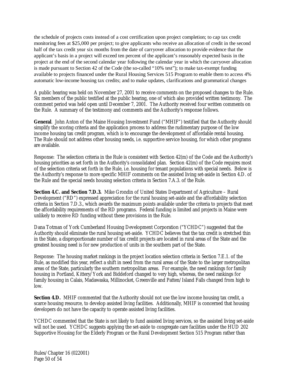the schedule of projects costs instead of a cost certification upon project completion; to cap tax credit monitoring fees at \$25,000 per project; to give applicants who receive an allocation of credit in the second half of the tax credit year six months from the date of carryover allocation to provide evidence that the applicant's basis in a project will exceed ten percent of the applicant's reasonably expected basis in the project at the end of the second calendar year following the calendar year in which the carryover allocation is made pursuant to Section 42 of the Code (the so-called "10% test"); to make tax-exempt funding available to projects financed under the Rural Housing Services 515 Program to enable them to access 4% automatic low-income housing tax credits; and to make updates, clarifications and grammatical changes

A public hearing was held on November 27, 2001 to receive comments on the proposed changes to the Rule. Six members of the public testified at the public hearing, one of which also provided written testimony. The comment period was held open until December 7, 2001. The Authority received four written comments on the Rule. A summary of the testimony and comments and the Authority's response follows.

**General**. John Anton of the Maine Housing Investment Fund ("MHIF") testified that the Authority should simplify the scoring criteria and the application process to address the rudimentary purpose of the low income housing tax credit program, which is to encourage the development of affordable rental housing. The Rule should not address other housing needs, i.e. supportive service housing, for which other programs are available.

Response: The selection criteria in the Rule is consistent with Section 42(m) of the Code and the Authority's housing priorities as set forth in the Authority's consolidated plan. Section 42(m) of the Code requires most of the selection criteria set forth in the Rule, i.e. housing for tenant populations with special needs. Below is the Authority's response to more specific MHIF comments on the assisted living set-aside in Section 4.D. of the Rule and the special needs housing selection criteria in Section 7.A.3. of the Rule.

**Section 4.C. and Section 7.D.3.** Mike Grondin of United States Department of Agriculture – Rural Development ("RD") expressed appreciation for the rural housing set-aside and the affordability selection criteria in Section 7.D.3., which awards the maximum points available under the criteria to projects that meet the affordability requirements of the RD programs. Federal funding is limited and projects in Maine were unlikely to receive RD funding without these provisions in the Rule.

Dana Totman of York Cumberland Housing Development Corporation ("YCHDC") suggested that the Authority should eliminate the rural housing set-aside. YCHDC believes that the tax credit is stretched thin in the State, a disproportionate number of tax credit projects are located in rural areas of the State and the greatest housing need is for new production of units in the southern part of the State.

Response: The housing market rankings in the project location selection criteria in Section 7.E.1. of the Rule, as modified this year, reflect a shift in need from the rural areas of the State to the larger metropolitan areas of the State, particularly the southern metropolitan areas. For example, the need rankings for family housing in Portland, Kittery/York and Biddeford changed to very high, whereas, the need rankings for family housing in Calais, Madawaska, Millinocket, Greenville and Patten/Island Falls changed from high to low.

**Section 4.D.** MHIF commented that the Authority should not use the low income housing tax credit, a scarce housing resource, to develop assisted living facilities. Additionally, MHIF is concerned that housing developers do not have the capacity to operate assisted living facilities.

YCHDC commented that the State is not likely to fund assisted living services, so the assisted living set-aside will not be used. YCHDC suggests applying the set-aside to congregate care facilities under the HUD 202 Supportive Housing for the Elderly Program or the Rural Development Section 515 Program rather than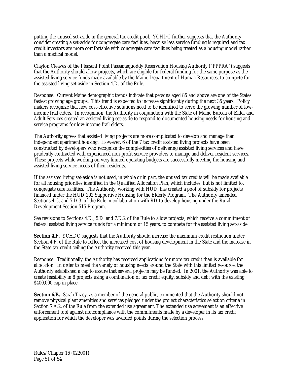putting the unused set-aside in the general tax credit pool. YCHDC further suggests that the Authority consider creating a set-aside for congregate care facilities, because less service funding is required and tax credit investors are more comfortable with congregate care facilities being treated as a housing model rather than a medical model.

Clayton Cleaves of the Pleasant Point Passamaquoddy Reservation Housing Authority ("PPPRA") suggests that the Authority should allow projects, which are eligible for federal funding for the same purpose as the assisted living service funds made available by the Maine Department of Human Resources, to compete for the assisted living set-aside in Section 4.D. of the Rule.

Response: Current Maine demographic trends indicate that persons aged 85 and above are one of the States' fastest growing age groups. This trend is expected to increase significantly during the next 35 years. Policy makers recognize that new cost-effective solutions need to be identified to serve the growing number of lowincome frail elders. In recognition, the Authority in conjunction with the State of Maine Bureau of Elder and Adult Services created an assisted living set-aside to respond to documented housing needs for housing and service programs for low-income frail elders.

The Authority agrees that assisted living projects are more complicated to develop and manage than independent apartment housing. However, 6 of the 7 tax credit assisted living projects have been constructed by developers who recognize the complexities of delivering assisted living services and have prudently contracted with experienced non-profit service providers to manage and deliver resident services. These projects while working on very limited operating budgets are successfully meeting the housing and assisted living service needs of their residents.

If the assisted living set-aside is not used, in whole or in part, the unused tax credits will be made available for all housing priorities identified in the Qualified Allocation Plan, which includes, but is not limited to, congregate care facilities. The Authority, working with HUD, has created a pool of subsidy for projects financed under the HUD 202 Supportive Housing for the Elderly Program. The Authority amended Sections 4.C. and 7.D.3. of the Rule in collaboration with RD to develop housing under the Rural Development Section 515 Program.

See revisions to Sections 4.D., 5.D. and 7.D.2 of the Rule to allow projects, which receive a commitment of federal assisted living service funds for a minimum of 15 years, to compete for the assisted living set-aside.

**Section 4.F.** YCHDC suggests that the Authority should increase the maximum credit restriction under Section 4.F. of the Rule to reflect the increased cost of housing development in the State and the increase in the State tax credit ceiling the Authority received this year.

Response: Traditionally, the Authority has received applications for more tax credit than is available for allocation. In order to meet the variety of housing needs around the State with this limited resource, the Authority established a cap to assure that several projects may be funded. In 2001, the Authority was able to create feasibility in 8 projects using a combination of tax credit equity, subsidy and debt with the existing \$400,000 cap in place.

**Section 6.B.** Sarah Tracy, as a member of the general public, commented that the Authority should not remove physical plant amenities and services pledged under the project characteristics selection criteria in Section 7.A.2. of the Rule from the extended use agreement. The extended use agreement is an effective enforcement tool against noncompliance with the commitments made by a developer in its tax credit application for which the developer was awarded points during the selection process.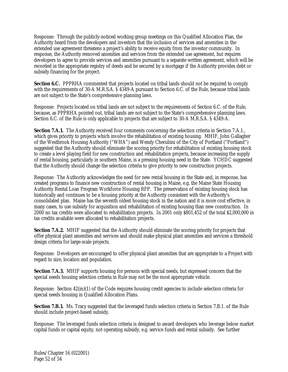Response: Through the publicly-noticed working group meetings on this Qualified Allocation Plan, the Authority heard from the developers and investors that the inclusion of services and amenities in the extended use agreement threatens a project's ability to receive equity from the investor community. In response, the Authority removed amenities and services from the extended use agreement, but requires developers to agree to provide services and amenities pursuant to a separate written agreement, which will be recorded in the appropriate registry of deeds and be secured by a mortgage if the Authority provides debt or subsidy financing for the project.

**Section 6.C.** PPPRHA commented that projects located on tribal lands should not be required to comply with the requirements of 30-A M.R.S.A. § 4349-A pursuant to Section 6.C. of the Rule, because tribal lands are not subject to the State's comprehensive planning laws.

Response: Projects located on tribal lands are not subject to the requirements of Section 6.C. of the Rule, because, as PPPRHA pointed out, tribal lands are not subject to the State's comprehensive planning laws. Section 6.C. of the Rule is only applicable to projects that are subject to 30-A M.R.S.A. § 4349-A.

**Section 7.A.1.** The Authority received four comments concerning the selection criteria in Section 7.A.1., which gives priority to projects which involve the rehabilitation of existing housing. MHIF, John Gallagher of the Westbrook Housing Authority ("WHA") and Wendy Cherubini of the City of Portland ("Portland") suggested that the Authority should eliminate the scoring priority for rehabilitation of existing housing stock to create a level playing field for new construction and rehabilitation projects, because increasing the supply of rental housing, particularly in southern Maine, is a pressing housing need in the State. YCHDC suggested that the Authority should change the selection criteria to give priority to new construction projects.

Response: The Authority acknowledges the need for new rental housing in the State and, in response, has created programs to finance new construction of rental housing in Maine, e.g. the Maine State Housing Authority Rental Loan Program Workforce Housing RFP. The preservation of existing housing stock has historically and continues to be a housing priority at the Authority consistent with the Authority's consolidated plan. Maine has the seventh oldest housing stock in the nation and it is more cost effective, in many cases, to use subsidy for acquisition and rehabilitation of existing housing than new construction. In 2000 no tax credits were allocated to rehabilitation projects. In 2001 only \$801,452 of the total \$2,000,000 in tax credits available were allocated to rehabilitation projects.

**Section 7.A.2.** MHIF suggested that the Authority should eliminate the scoring priority for projects that offer physical plant amenities and services and should make physical plant amenities and services a threshold design criteria for large-scale projects.

Response: Developers are encouraged to offer physical plant amenities that are appropriate to a Project with regard to size, location and population.

**Section 7.A.3.** MHIF supports housing for persons with special needs, but expressed concern that the special needs housing selection criteria in Rule may not be the most appropriate vehicle.

Response: Section 42(m)(1) of the Code requires housing credit agencies to include selection criteria for special needs housing in Qualified Allocation Plans.

**Section 7.B.1.** Ms. Tracy suggested that the leveraged funds selection criteria in Section 7.B.1. of the Rule should include project-based subsidy.

Response: The leveraged funds selection criteria is designed to award developers who leverage below market capital funds or capital equity, not operating subsidy, e.g. service funds and rental subsidy. See further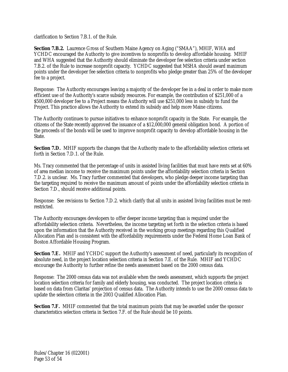clarification to Section 7.B.1. of the Rule.

**Section 7.B.2.** Laurence Gross of Southern Maine Agency on Aging ("SMAA"), MHIF, WHA and YCHDC encouraged the Authority to give incentives to nonprofits to develop affordable housing. MHIF and WHA suggested that the Authority should eliminate the developer fee selection criteria under section 7.B.2. of the Rule to increase nonprofit capacity. YCHDC suggested that MSHA should award maximum points under the developer fee selection criteria to nonprofits who pledge greater than 25% of the developer fee to a project.

Response: The Authority encourages leaving a majority of the developer fee in a deal in order to make more efficient use of the Authority's scarce subsidy resources. For example, the contribution of \$251,000 of a \$500,000 developer fee to a Project means the Authority will use \$251,000 less in subsidy to fund the Project. This practice allows the Authority to extend its subsidy and help more Maine citizens.

The Authority continues to pursue initiatives to enhance nonprofit capacity in the State. For example, the citizens of the State recently approved the issuance of a \$12,000,000 general obligation bond. A portion of the proceeds of the bonds will be used to improve nonprofit capacity to develop affordable housing in the State.

**Section 7.D.** MHIF supports the changes that the Authority made to the affordability selection criteria set forth in Section 7.D.1. of the Rule.

Ms. Tracy commented that the percentage of units in assisted living facilities that must have rents set at 60% of area median income to receive the maximum points under the affordability selection criteria in Section 7.D.2. is unclear. Ms. Tracy further commented that developers, who pledge deeper income targeting than the targeting required to receive the maximum amount of points under the affordability selection criteria in Section 7.D., should receive additional points.

Response: See revisions to Section 7.D.2. which clarify that all units in assisted living facilities must be rentrestricted.

The Authority encourages developers to offer deeper income targeting than is required under the affordability selection criteria. Nevertheless, the income targeting set forth in the selection criteria is based upon the information that the Authority received in the working group meetings regarding this Qualified Allocation Plan and is consistent with the affordability requirements under the Federal Home Loan Bank of Boston Affordable Housing Program.

**Section 7.E.** MHIF and YCHDC support the Authority's assessment of need, particularly its recognition of absolute need, in the project location selection criteria in Section 7.E. of the Rule. MHIF and YCHDC encourage the Authority to further refine the needs assessment based on the 2000 census data.

Response: The 2000 census data was not available when the needs assessment, which supports the project location selection criteria for family and elderly housing, was conducted. The project location criteria is based on data from Claritas' projection of census data. The Authority intends to use the 2000 census data to update the selection criteria in the 2003 Qualified Allocation Plan.

**Section 7.F.** MHIF commented that the total maximum points that may be awarded under the sponsor characteristics selection criteria in Section 7.F. of the Rule should be 10 points.